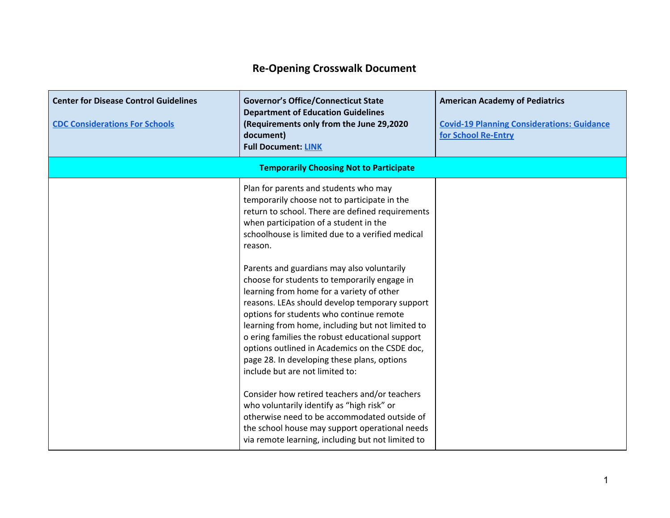## **Re-Opening Crosswalk Document**

| <b>Center for Disease Control Guidelines</b><br><b>CDC Considerations For Schools</b> | <b>Governor's Office/Connecticut State</b><br><b>Department of Education Guidelines</b><br>(Requirements only from the June 29,2020<br>document)<br><b>Full Document: LINK</b>                                                                                                                                                                                                                                                                                                                                                                                                                                                                                                                                                                                                                                                                                                                                                                                                               | <b>American Academy of Pediatrics</b><br><b>Covid-19 Planning Considerations: Guidance</b><br>for School Re-Entry |
|---------------------------------------------------------------------------------------|----------------------------------------------------------------------------------------------------------------------------------------------------------------------------------------------------------------------------------------------------------------------------------------------------------------------------------------------------------------------------------------------------------------------------------------------------------------------------------------------------------------------------------------------------------------------------------------------------------------------------------------------------------------------------------------------------------------------------------------------------------------------------------------------------------------------------------------------------------------------------------------------------------------------------------------------------------------------------------------------|-------------------------------------------------------------------------------------------------------------------|
|                                                                                       | <b>Temporarily Choosing Not to Participate</b>                                                                                                                                                                                                                                                                                                                                                                                                                                                                                                                                                                                                                                                                                                                                                                                                                                                                                                                                               |                                                                                                                   |
|                                                                                       | Plan for parents and students who may<br>temporarily choose not to participate in the<br>return to school. There are defined requirements<br>when participation of a student in the<br>schoolhouse is limited due to a verified medical<br>reason.<br>Parents and guardians may also voluntarily<br>choose for students to temporarily engage in<br>learning from home for a variety of other<br>reasons. LEAs should develop temporary support<br>options for students who continue remote<br>learning from home, including but not limited to<br>o ering families the robust educational support<br>options outlined in Academics on the CSDE doc,<br>page 28. In developing these plans, options<br>include but are not limited to:<br>Consider how retired teachers and/or teachers<br>who voluntarily identify as "high risk" or<br>otherwise need to be accommodated outside of<br>the school house may support operational needs<br>via remote learning, including but not limited to |                                                                                                                   |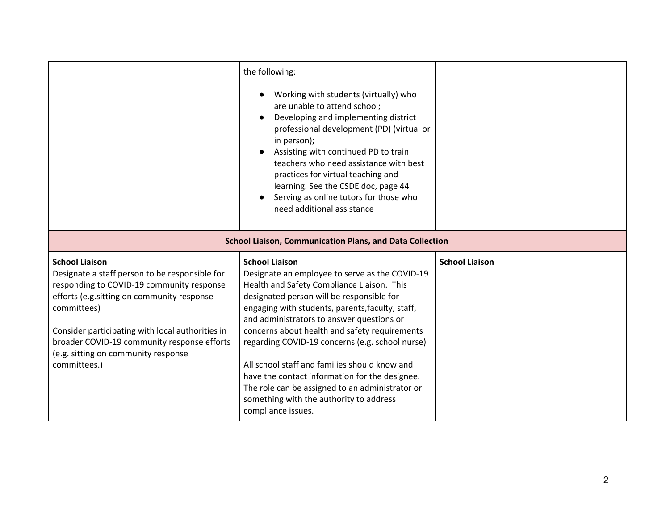|                                                                                                                                                                                                                                                                                                                                              | the following:<br>Working with students (virtually) who<br>are unable to attend school;<br>Developing and implementing district<br>professional development (PD) (virtual or<br>in person);<br>Assisting with continued PD to train<br>teachers who need assistance with best<br>practices for virtual teaching and<br>learning. See the CSDE doc, page 44<br>Serving as online tutors for those who<br>need additional assistance                                                                                                                                                             |                       |
|----------------------------------------------------------------------------------------------------------------------------------------------------------------------------------------------------------------------------------------------------------------------------------------------------------------------------------------------|------------------------------------------------------------------------------------------------------------------------------------------------------------------------------------------------------------------------------------------------------------------------------------------------------------------------------------------------------------------------------------------------------------------------------------------------------------------------------------------------------------------------------------------------------------------------------------------------|-----------------------|
|                                                                                                                                                                                                                                                                                                                                              | <b>School Liaison, Communication Plans, and Data Collection</b>                                                                                                                                                                                                                                                                                                                                                                                                                                                                                                                                |                       |
| <b>School Liaison</b><br>Designate a staff person to be responsible for<br>responding to COVID-19 community response<br>efforts (e.g. sitting on community response<br>committees)<br>Consider participating with local authorities in<br>broader COVID-19 community response efforts<br>(e.g. sitting on community response<br>committees.) | <b>School Liaison</b><br>Designate an employee to serve as the COVID-19<br>Health and Safety Compliance Liaison. This<br>designated person will be responsible for<br>engaging with students, parents, faculty, staff,<br>and administrators to answer questions or<br>concerns about health and safety requirements<br>regarding COVID-19 concerns (e.g. school nurse)<br>All school staff and families should know and<br>have the contact information for the designee.<br>The role can be assigned to an administrator or<br>something with the authority to address<br>compliance issues. | <b>School Liaison</b> |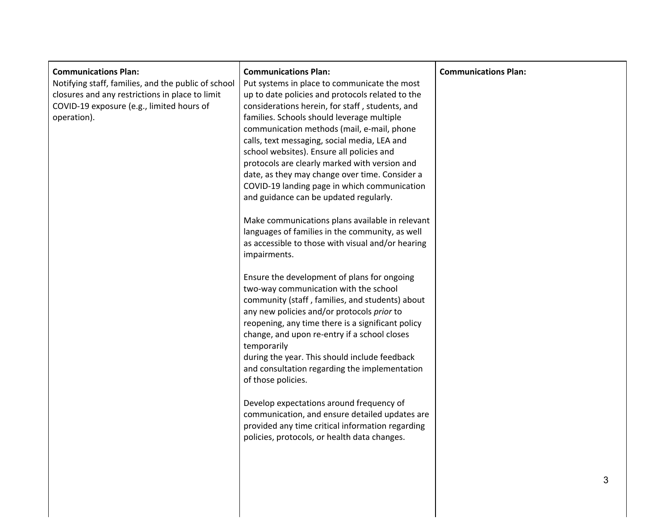| <b>Communications Plan:</b><br>Notifying staff, families, and the public of school<br>closures and any restrictions in place to limit<br>COVID-19 exposure (e.g., limited hours of<br>operation). | <b>Communications Plan:</b><br>Put systems in place to communicate the most<br>up to date policies and protocols related to the<br>considerations herein, for staff, students, and<br>families. Schools should leverage multiple<br>communication methods (mail, e-mail, phone<br>calls, text messaging, social media, LEA and<br>school websites). Ensure all policies and<br>protocols are clearly marked with version and<br>date, as they may change over time. Consider a<br>COVID-19 landing page in which communication<br>and guidance can be updated regularly.<br>Make communications plans available in relevant<br>languages of families in the community, as well<br>as accessible to those with visual and/or hearing<br>impairments.<br>Ensure the development of plans for ongoing<br>two-way communication with the school<br>community (staff, families, and students) about<br>any new policies and/or protocols prior to<br>reopening, any time there is a significant policy<br>change, and upon re-entry if a school closes<br>temporarily<br>during the year. This should include feedback<br>and consultation regarding the implementation<br>of those policies.<br>Develop expectations around frequency of<br>communication, and ensure detailed updates are<br>provided any time critical information regarding<br>policies, protocols, or health data changes. | <b>Communications Plan:</b> |
|---------------------------------------------------------------------------------------------------------------------------------------------------------------------------------------------------|--------------------------------------------------------------------------------------------------------------------------------------------------------------------------------------------------------------------------------------------------------------------------------------------------------------------------------------------------------------------------------------------------------------------------------------------------------------------------------------------------------------------------------------------------------------------------------------------------------------------------------------------------------------------------------------------------------------------------------------------------------------------------------------------------------------------------------------------------------------------------------------------------------------------------------------------------------------------------------------------------------------------------------------------------------------------------------------------------------------------------------------------------------------------------------------------------------------------------------------------------------------------------------------------------------------------------------------------------------------------------------------------|-----------------------------|
|                                                                                                                                                                                                   |                                                                                                                                                                                                                                                                                                                                                                                                                                                                                                                                                                                                                                                                                                                                                                                                                                                                                                                                                                                                                                                                                                                                                                                                                                                                                                                                                                                            | 3                           |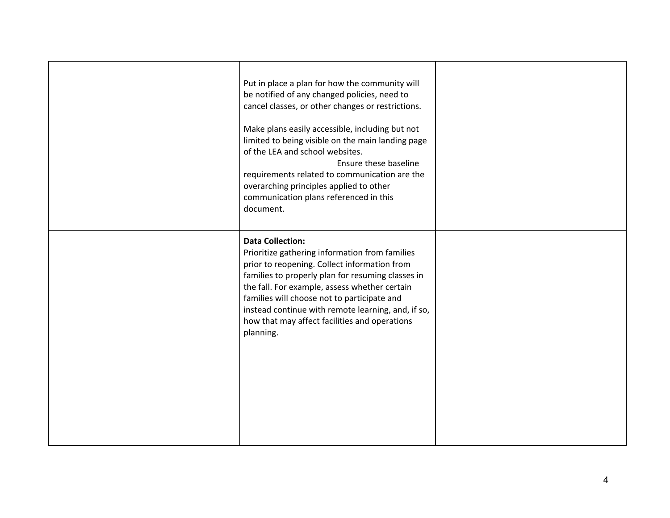| Put in place a plan for how the community will<br>be notified of any changed policies, need to<br>cancel classes, or other changes or restrictions.<br>Make plans easily accessible, including but not<br>limited to being visible on the main landing page<br>of the LEA and school websites.<br>Ensure these baseline<br>requirements related to communication are the<br>overarching principles applied to other<br>communication plans referenced in this<br>document. |  |
|----------------------------------------------------------------------------------------------------------------------------------------------------------------------------------------------------------------------------------------------------------------------------------------------------------------------------------------------------------------------------------------------------------------------------------------------------------------------------|--|
| <b>Data Collection:</b><br>Prioritize gathering information from families<br>prior to reopening. Collect information from<br>families to properly plan for resuming classes in<br>the fall. For example, assess whether certain<br>families will choose not to participate and<br>instead continue with remote learning, and, if so,<br>how that may affect facilities and operations<br>planning.                                                                         |  |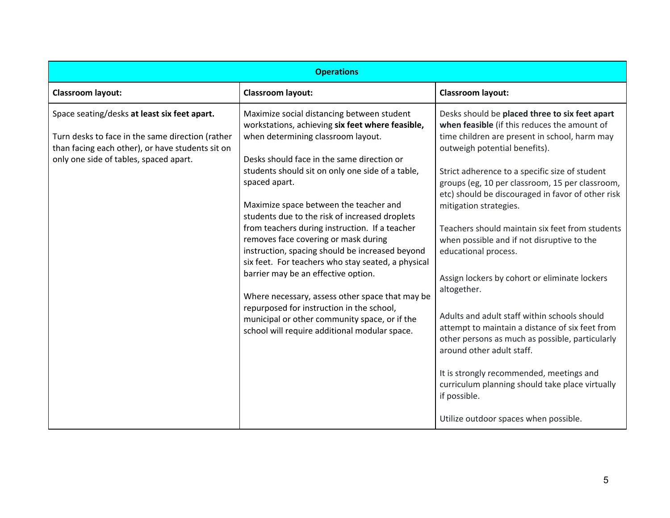|                                                                                                                                                                                                | <b>Operations</b>                                                                                                                                                                                                                                                                                                                                                                                                                                                                                                                                                                                                                                                                                                                                                                               |                                                                                                                                                                                                                                                                                                                                                                                                                                                                                                                                                                                                                                                                                                                                                                                                                                                                                                          |
|------------------------------------------------------------------------------------------------------------------------------------------------------------------------------------------------|-------------------------------------------------------------------------------------------------------------------------------------------------------------------------------------------------------------------------------------------------------------------------------------------------------------------------------------------------------------------------------------------------------------------------------------------------------------------------------------------------------------------------------------------------------------------------------------------------------------------------------------------------------------------------------------------------------------------------------------------------------------------------------------------------|----------------------------------------------------------------------------------------------------------------------------------------------------------------------------------------------------------------------------------------------------------------------------------------------------------------------------------------------------------------------------------------------------------------------------------------------------------------------------------------------------------------------------------------------------------------------------------------------------------------------------------------------------------------------------------------------------------------------------------------------------------------------------------------------------------------------------------------------------------------------------------------------------------|
| <b>Classroom layout:</b>                                                                                                                                                                       | <b>Classroom layout:</b>                                                                                                                                                                                                                                                                                                                                                                                                                                                                                                                                                                                                                                                                                                                                                                        | <b>Classroom layout:</b>                                                                                                                                                                                                                                                                                                                                                                                                                                                                                                                                                                                                                                                                                                                                                                                                                                                                                 |
| Space seating/desks at least six feet apart.<br>Turn desks to face in the same direction (rather<br>than facing each other), or have students sit on<br>only one side of tables, spaced apart. | Maximize social distancing between student<br>workstations, achieving six feet where feasible,<br>when determining classroom layout.<br>Desks should face in the same direction or<br>students should sit on only one side of a table,<br>spaced apart.<br>Maximize space between the teacher and<br>students due to the risk of increased droplets<br>from teachers during instruction. If a teacher<br>removes face covering or mask during<br>instruction, spacing should be increased beyond<br>six feet. For teachers who stay seated, a physical<br>barrier may be an effective option.<br>Where necessary, assess other space that may be<br>repurposed for instruction in the school,<br>municipal or other community space, or if the<br>school will require additional modular space. | Desks should be placed three to six feet apart<br>when feasible (if this reduces the amount of<br>time children are present in school, harm may<br>outweigh potential benefits).<br>Strict adherence to a specific size of student<br>groups (eg, 10 per classroom, 15 per classroom,<br>etc) should be discouraged in favor of other risk<br>mitigation strategies.<br>Teachers should maintain six feet from students<br>when possible and if not disruptive to the<br>educational process.<br>Assign lockers by cohort or eliminate lockers<br>altogether.<br>Adults and adult staff within schools should<br>attempt to maintain a distance of six feet from<br>other persons as much as possible, particularly<br>around other adult staff.<br>It is strongly recommended, meetings and<br>curriculum planning should take place virtually<br>if possible.<br>Utilize outdoor spaces when possible. |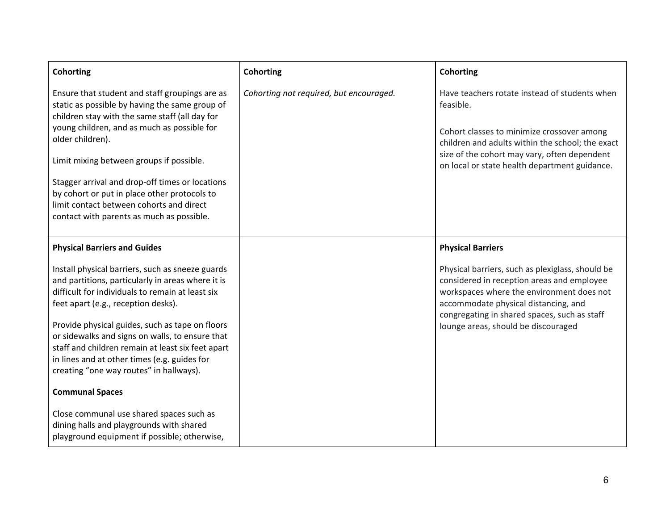| <b>Cohorting</b>                                                                                                                                                                                                                                                                                                                                                                                                                                                                 | <b>Cohorting</b>                        | <b>Cohorting</b>                                                                                                                                                                                                                                                           |
|----------------------------------------------------------------------------------------------------------------------------------------------------------------------------------------------------------------------------------------------------------------------------------------------------------------------------------------------------------------------------------------------------------------------------------------------------------------------------------|-----------------------------------------|----------------------------------------------------------------------------------------------------------------------------------------------------------------------------------------------------------------------------------------------------------------------------|
| Ensure that student and staff groupings are as<br>static as possible by having the same group of<br>children stay with the same staff (all day for<br>young children, and as much as possible for<br>older children).<br>Limit mixing between groups if possible.<br>Stagger arrival and drop-off times or locations<br>by cohort or put in place other protocols to<br>limit contact between cohorts and direct<br>contact with parents as much as possible.                    | Cohorting not required, but encouraged. | Have teachers rotate instead of students when<br>feasible.<br>Cohort classes to minimize crossover among<br>children and adults within the school; the exact<br>size of the cohort may vary, often dependent<br>on local or state health department guidance.              |
| <b>Physical Barriers and Guides</b>                                                                                                                                                                                                                                                                                                                                                                                                                                              |                                         | <b>Physical Barriers</b>                                                                                                                                                                                                                                                   |
| Install physical barriers, such as sneeze guards<br>and partitions, particularly in areas where it is<br>difficult for individuals to remain at least six<br>feet apart (e.g., reception desks).<br>Provide physical guides, such as tape on floors<br>or sidewalks and signs on walls, to ensure that<br>staff and children remain at least six feet apart<br>in lines and at other times (e.g. guides for<br>creating "one way routes" in hallways).<br><b>Communal Spaces</b> |                                         | Physical barriers, such as plexiglass, should be<br>considered in reception areas and employee<br>workspaces where the environment does not<br>accommodate physical distancing, and<br>congregating in shared spaces, such as staff<br>lounge areas, should be discouraged |
| Close communal use shared spaces such as<br>dining halls and playgrounds with shared<br>playground equipment if possible; otherwise,                                                                                                                                                                                                                                                                                                                                             |                                         |                                                                                                                                                                                                                                                                            |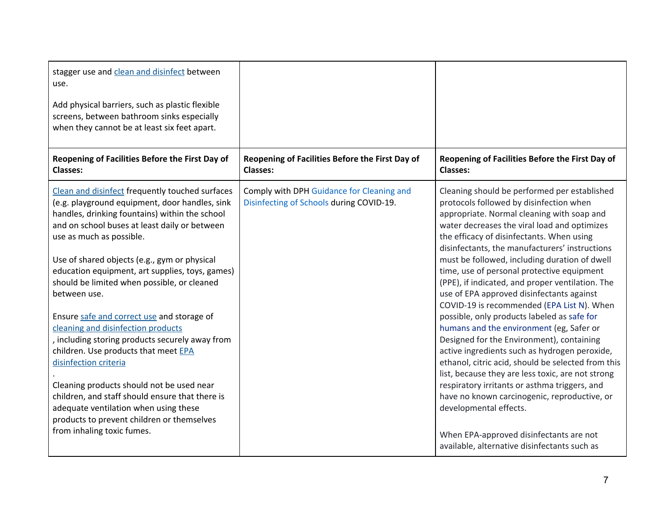| stagger use and clean and disinfect between<br>use.<br>Add physical barriers, such as plastic flexible<br>screens, between bathroom sinks especially<br>when they cannot be at least six feet apart.<br>Reopening of Facilities Before the First Day of                                                                                                                                                                                                                                                                                                                                                                                                                                                                                                                                                                         | Reopening of Facilities Before the First Day of                                       | Reopening of Facilities Before the First Day of                                                                                                                                                                                                                                                                                                                                                                                                                                                                                                                                                                                                                                                                                                                                                                                                                                                                                                                   |
|---------------------------------------------------------------------------------------------------------------------------------------------------------------------------------------------------------------------------------------------------------------------------------------------------------------------------------------------------------------------------------------------------------------------------------------------------------------------------------------------------------------------------------------------------------------------------------------------------------------------------------------------------------------------------------------------------------------------------------------------------------------------------------------------------------------------------------|---------------------------------------------------------------------------------------|-------------------------------------------------------------------------------------------------------------------------------------------------------------------------------------------------------------------------------------------------------------------------------------------------------------------------------------------------------------------------------------------------------------------------------------------------------------------------------------------------------------------------------------------------------------------------------------------------------------------------------------------------------------------------------------------------------------------------------------------------------------------------------------------------------------------------------------------------------------------------------------------------------------------------------------------------------------------|
| <b>Classes:</b>                                                                                                                                                                                                                                                                                                                                                                                                                                                                                                                                                                                                                                                                                                                                                                                                                 | <b>Classes:</b>                                                                       | <b>Classes:</b>                                                                                                                                                                                                                                                                                                                                                                                                                                                                                                                                                                                                                                                                                                                                                                                                                                                                                                                                                   |
| Clean and disinfect frequently touched surfaces<br>(e.g. playground equipment, door handles, sink<br>handles, drinking fountains) within the school<br>and on school buses at least daily or between<br>use as much as possible.<br>Use of shared objects (e.g., gym or physical<br>education equipment, art supplies, toys, games)<br>should be limited when possible, or cleaned<br>between use.<br>Ensure safe and correct use and storage of<br>cleaning and disinfection products<br>, including storing products securely away from<br>children. Use products that meet EPA<br>disinfection criteria<br>Cleaning products should not be used near<br>children, and staff should ensure that there is<br>adequate ventilation when using these<br>products to prevent children or themselves<br>from inhaling toxic fumes. | Comply with DPH Guidance for Cleaning and<br>Disinfecting of Schools during COVID-19. | Cleaning should be performed per established<br>protocols followed by disinfection when<br>appropriate. Normal cleaning with soap and<br>water decreases the viral load and optimizes<br>the efficacy of disinfectants. When using<br>disinfectants, the manufacturers' instructions<br>must be followed, including duration of dwell<br>time, use of personal protective equipment<br>(PPE), if indicated, and proper ventilation. The<br>use of EPA approved disinfectants against<br>COVID-19 is recommended (EPA List N). When<br>possible, only products labeled as safe for<br>humans and the environment (eg, Safer or<br>Designed for the Environment), containing<br>active ingredients such as hydrogen peroxide,<br>ethanol, citric acid, should be selected from this<br>list, because they are less toxic, are not strong<br>respiratory irritants or asthma triggers, and<br>have no known carcinogenic, reproductive, or<br>developmental effects. |
|                                                                                                                                                                                                                                                                                                                                                                                                                                                                                                                                                                                                                                                                                                                                                                                                                                 |                                                                                       | When EPA-approved disinfectants are not<br>available, alternative disinfectants such as                                                                                                                                                                                                                                                                                                                                                                                                                                                                                                                                                                                                                                                                                                                                                                                                                                                                           |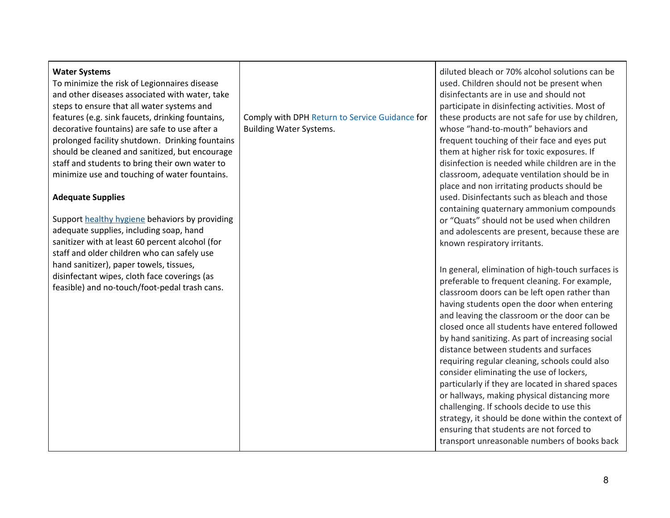| <b>Water Systems</b><br>To minimize the risk of Legionnaires disease<br>and other diseases associated with water, take<br>steps to ensure that all water systems and<br>features (e.g. sink faucets, drinking fountains,<br>decorative fountains) are safe to use after a<br>prolonged facility shutdown. Drinking fountains<br>should be cleaned and sanitized, but encourage<br>staff and students to bring their own water to<br>minimize use and touching of water fountains.<br><b>Adequate Supplies</b> | Comply with DPH Return to Service Guidance for<br><b>Building Water Systems.</b> | diluted bleach or 70% alcohol solutions can be<br>used. Children should not be present when<br>disinfectants are in use and should not<br>participate in disinfecting activities. Most of<br>these products are not safe for use by children,<br>whose "hand-to-mouth" behaviors and<br>frequent touching of their face and eyes put<br>them at higher risk for toxic exposures. If<br>disinfection is needed while children are in the<br>classroom, adequate ventilation should be in<br>place and non irritating products should be<br>used. Disinfectants such as bleach and those                                                                                                                                                                                                                                                                                                                                                                                           |
|---------------------------------------------------------------------------------------------------------------------------------------------------------------------------------------------------------------------------------------------------------------------------------------------------------------------------------------------------------------------------------------------------------------------------------------------------------------------------------------------------------------|----------------------------------------------------------------------------------|----------------------------------------------------------------------------------------------------------------------------------------------------------------------------------------------------------------------------------------------------------------------------------------------------------------------------------------------------------------------------------------------------------------------------------------------------------------------------------------------------------------------------------------------------------------------------------------------------------------------------------------------------------------------------------------------------------------------------------------------------------------------------------------------------------------------------------------------------------------------------------------------------------------------------------------------------------------------------------|
| Support healthy hygiene behaviors by providing<br>adequate supplies, including soap, hand<br>sanitizer with at least 60 percent alcohol (for<br>staff and older children who can safely use<br>hand sanitizer), paper towels, tissues,<br>disinfectant wipes, cloth face coverings (as<br>feasible) and no-touch/foot-pedal trash cans.                                                                                                                                                                       |                                                                                  | containing quaternary ammonium compounds<br>or "Quats" should not be used when children<br>and adolescents are present, because these are<br>known respiratory irritants.<br>In general, elimination of high-touch surfaces is<br>preferable to frequent cleaning. For example,<br>classroom doors can be left open rather than<br>having students open the door when entering<br>and leaving the classroom or the door can be<br>closed once all students have entered followed<br>by hand sanitizing. As part of increasing social<br>distance between students and surfaces<br>requiring regular cleaning, schools could also<br>consider eliminating the use of lockers,<br>particularly if they are located in shared spaces<br>or hallways, making physical distancing more<br>challenging. If schools decide to use this<br>strategy, it should be done within the context of<br>ensuring that students are not forced to<br>transport unreasonable numbers of books back |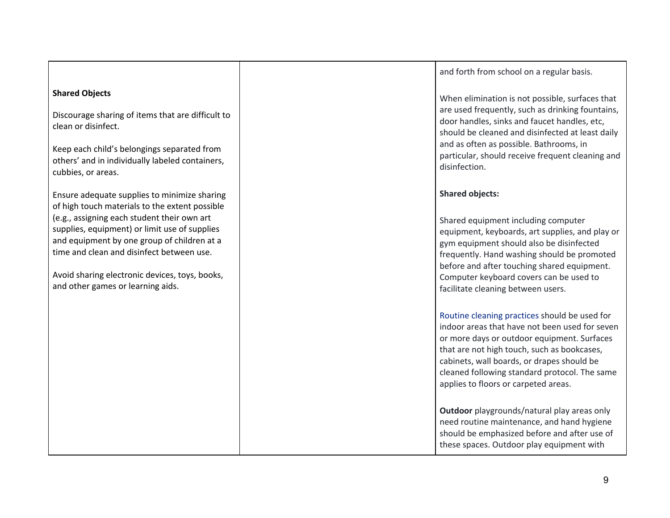|                                                                                                                                                                                                                                                                                                                                                                                   | and forth from school on a regular basis.                                                                                                                                                                                                                                                                                                   |
|-----------------------------------------------------------------------------------------------------------------------------------------------------------------------------------------------------------------------------------------------------------------------------------------------------------------------------------------------------------------------------------|---------------------------------------------------------------------------------------------------------------------------------------------------------------------------------------------------------------------------------------------------------------------------------------------------------------------------------------------|
| <b>Shared Objects</b><br>Discourage sharing of items that are difficult to<br>clean or disinfect.<br>Keep each child's belongings separated from<br>others' and in individually labeled containers,<br>cubbies, or areas.                                                                                                                                                         | When elimination is not possible, surfaces that<br>are used frequently, such as drinking fountains,<br>door handles, sinks and faucet handles, etc,<br>should be cleaned and disinfected at least daily<br>and as often as possible. Bathrooms, in<br>particular, should receive frequent cleaning and<br>disinfection.                     |
| Ensure adequate supplies to minimize sharing<br>of high touch materials to the extent possible<br>(e.g., assigning each student their own art<br>supplies, equipment) or limit use of supplies<br>and equipment by one group of children at a<br>time and clean and disinfect between use.<br>Avoid sharing electronic devices, toys, books,<br>and other games or learning aids. | <b>Shared objects:</b><br>Shared equipment including computer<br>equipment, keyboards, art supplies, and play or<br>gym equipment should also be disinfected<br>frequently. Hand washing should be promoted<br>before and after touching shared equipment.<br>Computer keyboard covers can be used to<br>facilitate cleaning between users. |
|                                                                                                                                                                                                                                                                                                                                                                                   | Routine cleaning practices should be used for<br>indoor areas that have not been used for seven<br>or more days or outdoor equipment. Surfaces<br>that are not high touch, such as bookcases,<br>cabinets, wall boards, or drapes should be<br>cleaned following standard protocol. The same<br>applies to floors or carpeted areas.        |
|                                                                                                                                                                                                                                                                                                                                                                                   | Outdoor playgrounds/natural play areas only<br>need routine maintenance, and hand hygiene<br>should be emphasized before and after use of<br>these spaces. Outdoor play equipment with                                                                                                                                                      |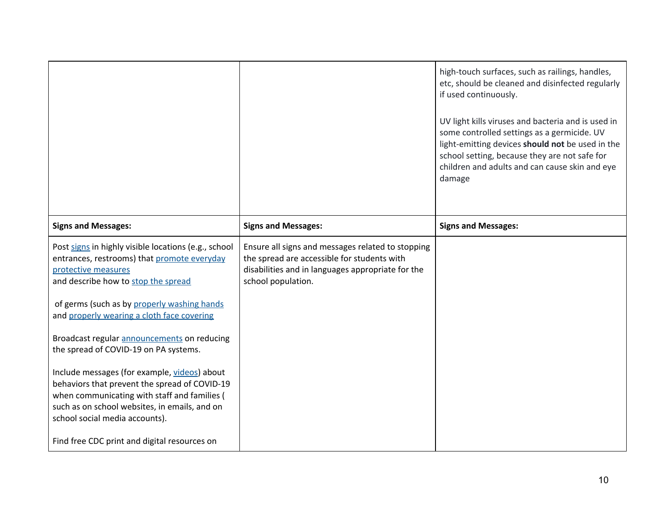| <b>Signs and Messages:</b><br><b>Signs and Messages:</b><br><b>Signs and Messages:</b><br>Post signs in highly visible locations (e.g., school<br>Ensure all signs and messages related to stopping<br>the spread are accessible for students with<br>entrances, restrooms) that promote everyday<br>disabilities and in languages appropriate for the<br>protective measures<br>and describe how to stop the spread<br>school population.<br>of germs (such as by properly washing hands<br>and properly wearing a cloth face covering<br>Broadcast regular announcements on reducing<br>the spread of COVID-19 on PA systems.<br>Include messages (for example, videos) about<br>behaviors that prevent the spread of COVID-19 |                                              | high-touch surfaces, such as railings, handles,<br>etc, should be cleaned and disinfected regularly<br>if used continuously.<br>UV light kills viruses and bacteria and is used in<br>some controlled settings as a germicide. UV<br>light-emitting devices should not be used in the<br>school setting, because they are not safe for<br>children and adults and can cause skin and eye<br>damage |
|----------------------------------------------------------------------------------------------------------------------------------------------------------------------------------------------------------------------------------------------------------------------------------------------------------------------------------------------------------------------------------------------------------------------------------------------------------------------------------------------------------------------------------------------------------------------------------------------------------------------------------------------------------------------------------------------------------------------------------|----------------------------------------------|----------------------------------------------------------------------------------------------------------------------------------------------------------------------------------------------------------------------------------------------------------------------------------------------------------------------------------------------------------------------------------------------------|
|                                                                                                                                                                                                                                                                                                                                                                                                                                                                                                                                                                                                                                                                                                                                  |                                              |                                                                                                                                                                                                                                                                                                                                                                                                    |
| such as on school websites, in emails, and on<br>school social media accounts).<br>Find free CDC print and digital resources on                                                                                                                                                                                                                                                                                                                                                                                                                                                                                                                                                                                                  | when communicating with staff and families ( |                                                                                                                                                                                                                                                                                                                                                                                                    |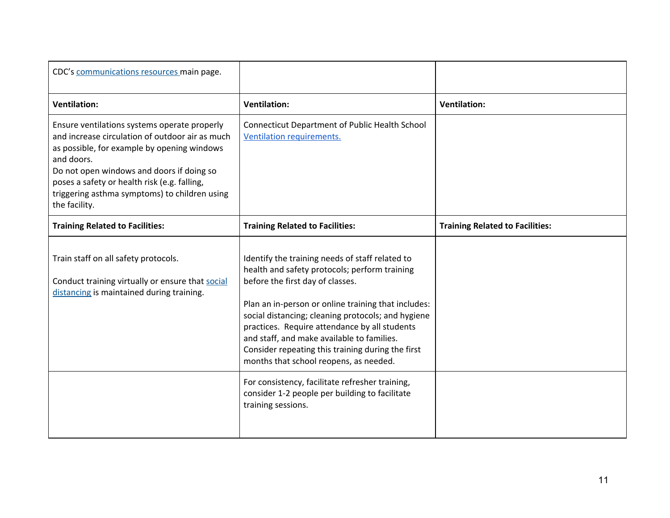| CDC's communications resources main page.                                                                                                                                                                                                                                                                                   |                                                                                                                                                                                                                                                                                                                                                                                                                                                 |                                        |
|-----------------------------------------------------------------------------------------------------------------------------------------------------------------------------------------------------------------------------------------------------------------------------------------------------------------------------|-------------------------------------------------------------------------------------------------------------------------------------------------------------------------------------------------------------------------------------------------------------------------------------------------------------------------------------------------------------------------------------------------------------------------------------------------|----------------------------------------|
| <b>Ventilation:</b>                                                                                                                                                                                                                                                                                                         | <b>Ventilation:</b>                                                                                                                                                                                                                                                                                                                                                                                                                             | <b>Ventilation:</b>                    |
| Ensure ventilations systems operate properly<br>and increase circulation of outdoor air as much<br>as possible, for example by opening windows<br>and doors.<br>Do not open windows and doors if doing so<br>poses a safety or health risk (e.g. falling,<br>triggering asthma symptoms) to children using<br>the facility. | <b>Connecticut Department of Public Health School</b><br>Ventilation requirements.                                                                                                                                                                                                                                                                                                                                                              |                                        |
| <b>Training Related to Facilities:</b>                                                                                                                                                                                                                                                                                      | <b>Training Related to Facilities:</b>                                                                                                                                                                                                                                                                                                                                                                                                          | <b>Training Related to Facilities:</b> |
| Train staff on all safety protocols.<br>Conduct training virtually or ensure that social<br>distancing is maintained during training.                                                                                                                                                                                       | Identify the training needs of staff related to<br>health and safety protocols; perform training<br>before the first day of classes.<br>Plan an in-person or online training that includes:<br>social distancing; cleaning protocols; and hygiene<br>practices. Require attendance by all students<br>and staff, and make available to families.<br>Consider repeating this training during the first<br>months that school reopens, as needed. |                                        |
|                                                                                                                                                                                                                                                                                                                             | For consistency, facilitate refresher training,<br>consider 1-2 people per building to facilitate<br>training sessions.                                                                                                                                                                                                                                                                                                                         |                                        |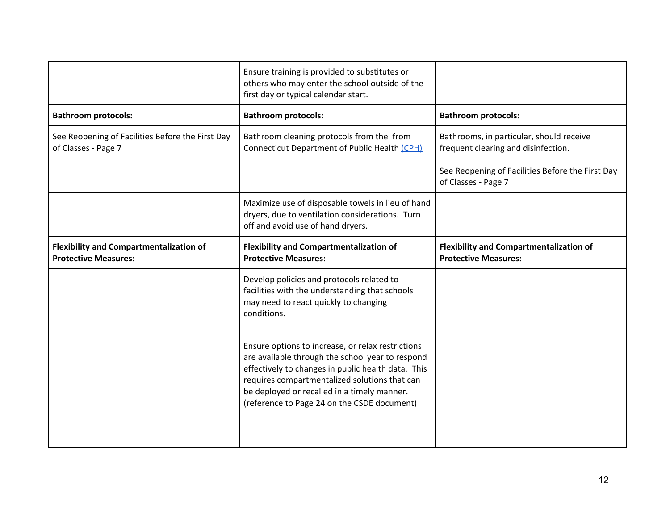|                                                                         | Ensure training is provided to substitutes or<br>others who may enter the school outside of the<br>first day or typical calendar start.             |                                                                                 |
|-------------------------------------------------------------------------|-----------------------------------------------------------------------------------------------------------------------------------------------------|---------------------------------------------------------------------------------|
| <b>Bathroom protocols:</b>                                              | <b>Bathroom protocols:</b>                                                                                                                          | <b>Bathroom protocols:</b>                                                      |
| See Reopening of Facilities Before the First Day<br>of Classes - Page 7 | Bathroom cleaning protocols from the from<br>Connecticut Department of Public Health (CPH)                                                          | Bathrooms, in particular, should receive<br>frequent clearing and disinfection. |
|                                                                         |                                                                                                                                                     | See Reopening of Facilities Before the First Day<br>of Classes - Page 7         |
|                                                                         | Maximize use of disposable towels in lieu of hand<br>dryers, due to ventilation considerations. Turn<br>off and avoid use of hand dryers.           |                                                                                 |
| <b>Flexibility and Compartmentalization of</b>                          | <b>Flexibility and Compartmentalization of</b>                                                                                                      | <b>Flexibility and Compartmentalization of</b>                                  |
| <b>Protective Measures:</b>                                             | <b>Protective Measures:</b>                                                                                                                         | <b>Protective Measures:</b>                                                     |
|                                                                         | Develop policies and protocols related to<br>facilities with the understanding that schools<br>may need to react quickly to changing<br>conditions. |                                                                                 |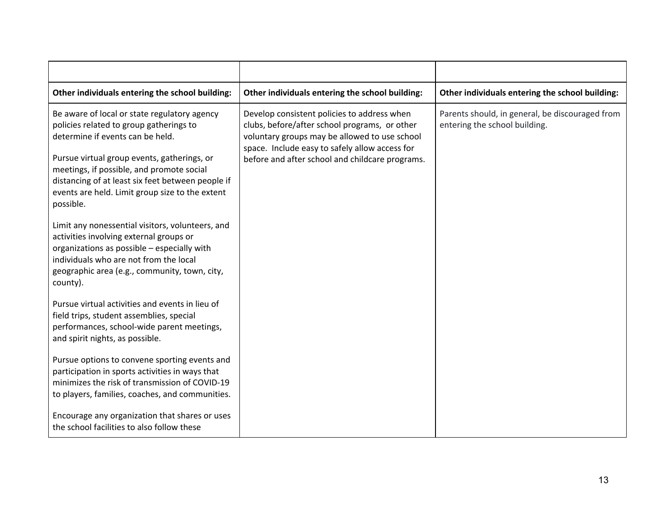| Other individuals entering the school building:                                                                                                                                                                                                                                                                                              | Other individuals entering the school building:                                                                                                                                                                                                    | Other individuals entering the school building:                                  |
|----------------------------------------------------------------------------------------------------------------------------------------------------------------------------------------------------------------------------------------------------------------------------------------------------------------------------------------------|----------------------------------------------------------------------------------------------------------------------------------------------------------------------------------------------------------------------------------------------------|----------------------------------------------------------------------------------|
| Be aware of local or state regulatory agency<br>policies related to group gatherings to<br>determine if events can be held.<br>Pursue virtual group events, gatherings, or<br>meetings, if possible, and promote social<br>distancing of at least six feet between people if<br>events are held. Limit group size to the extent<br>possible. | Develop consistent policies to address when<br>clubs, before/after school programs, or other<br>voluntary groups may be allowed to use school<br>space. Include easy to safely allow access for<br>before and after school and childcare programs. | Parents should, in general, be discouraged from<br>entering the school building. |
| Limit any nonessential visitors, volunteers, and<br>activities involving external groups or<br>organizations as possible - especially with<br>individuals who are not from the local<br>geographic area (e.g., community, town, city,<br>county).                                                                                            |                                                                                                                                                                                                                                                    |                                                                                  |
| Pursue virtual activities and events in lieu of<br>field trips, student assemblies, special<br>performances, school-wide parent meetings,<br>and spirit nights, as possible.                                                                                                                                                                 |                                                                                                                                                                                                                                                    |                                                                                  |
| Pursue options to convene sporting events and<br>participation in sports activities in ways that<br>minimizes the risk of transmission of COVID-19<br>to players, families, coaches, and communities.<br>Encourage any organization that shares or uses                                                                                      |                                                                                                                                                                                                                                                    |                                                                                  |
| the school facilities to also follow these                                                                                                                                                                                                                                                                                                   |                                                                                                                                                                                                                                                    |                                                                                  |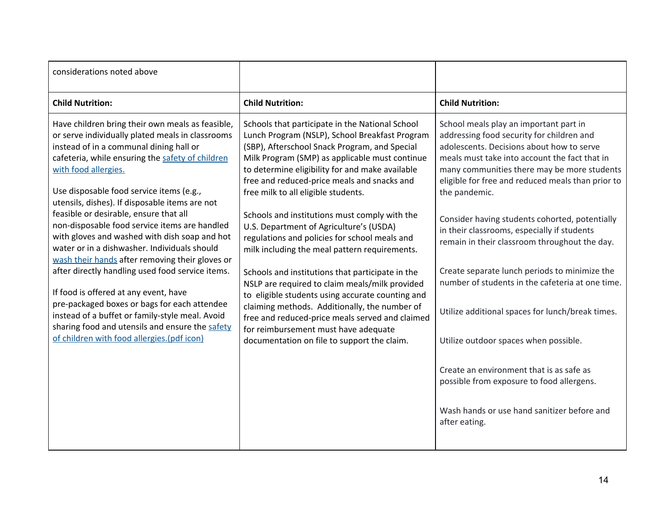| considerations noted above                                                                                                                                                                                                                                                                                                                                                                                                                                                                                                                                                                                                                                                                                                                                                                                                                                                |                                                                                                                                                                                                                                                                                                                                                                                                                                                                                                                                                                                                                                                                                                                                                                                                                                                                                                  |                                                                                                                                                                                                                                                                                                                                                                                                                                                                                                                                                                                                                                                                                                                                                                                                                     |
|---------------------------------------------------------------------------------------------------------------------------------------------------------------------------------------------------------------------------------------------------------------------------------------------------------------------------------------------------------------------------------------------------------------------------------------------------------------------------------------------------------------------------------------------------------------------------------------------------------------------------------------------------------------------------------------------------------------------------------------------------------------------------------------------------------------------------------------------------------------------------|--------------------------------------------------------------------------------------------------------------------------------------------------------------------------------------------------------------------------------------------------------------------------------------------------------------------------------------------------------------------------------------------------------------------------------------------------------------------------------------------------------------------------------------------------------------------------------------------------------------------------------------------------------------------------------------------------------------------------------------------------------------------------------------------------------------------------------------------------------------------------------------------------|---------------------------------------------------------------------------------------------------------------------------------------------------------------------------------------------------------------------------------------------------------------------------------------------------------------------------------------------------------------------------------------------------------------------------------------------------------------------------------------------------------------------------------------------------------------------------------------------------------------------------------------------------------------------------------------------------------------------------------------------------------------------------------------------------------------------|
| <b>Child Nutrition:</b>                                                                                                                                                                                                                                                                                                                                                                                                                                                                                                                                                                                                                                                                                                                                                                                                                                                   | <b>Child Nutrition:</b>                                                                                                                                                                                                                                                                                                                                                                                                                                                                                                                                                                                                                                                                                                                                                                                                                                                                          | <b>Child Nutrition:</b>                                                                                                                                                                                                                                                                                                                                                                                                                                                                                                                                                                                                                                                                                                                                                                                             |
| Have children bring their own meals as feasible,<br>or serve individually plated meals in classrooms<br>instead of in a communal dining hall or<br>cafeteria, while ensuring the safety of children<br>with food allergies.<br>Use disposable food service items (e.g.,<br>utensils, dishes). If disposable items are not<br>feasible or desirable, ensure that all<br>non-disposable food service items are handled<br>with gloves and washed with dish soap and hot<br>water or in a dishwasher. Individuals should<br>wash their hands after removing their gloves or<br>after directly handling used food service items.<br>If food is offered at any event, have<br>pre-packaged boxes or bags for each attendee<br>instead of a buffet or family-style meal. Avoid<br>sharing food and utensils and ensure the safety<br>of children with food allergies.(pdf icon) | Schools that participate in the National School<br>Lunch Program (NSLP), School Breakfast Program<br>(SBP), Afterschool Snack Program, and Special<br>Milk Program (SMP) as applicable must continue<br>to determine eligibility for and make available<br>free and reduced-price meals and snacks and<br>free milk to all eligible students.<br>Schools and institutions must comply with the<br>U.S. Department of Agriculture's (USDA)<br>regulations and policies for school meals and<br>milk including the meal pattern requirements.<br>Schools and institutions that participate in the<br>NSLP are required to claim meals/milk provided<br>to eligible students using accurate counting and<br>claiming methods. Additionally, the number of<br>free and reduced-price meals served and claimed<br>for reimbursement must have adequate<br>documentation on file to support the claim. | School meals play an important part in<br>addressing food security for children and<br>adolescents. Decisions about how to serve<br>meals must take into account the fact that in<br>many communities there may be more students<br>eligible for free and reduced meals than prior to<br>the pandemic.<br>Consider having students cohorted, potentially<br>in their classrooms, especially if students<br>remain in their classroom throughout the day.<br>Create separate lunch periods to minimize the<br>number of students in the cafeteria at one time.<br>Utilize additional spaces for lunch/break times.<br>Utilize outdoor spaces when possible.<br>Create an environment that is as safe as<br>possible from exposure to food allergens.<br>Wash hands or use hand sanitizer before and<br>after eating. |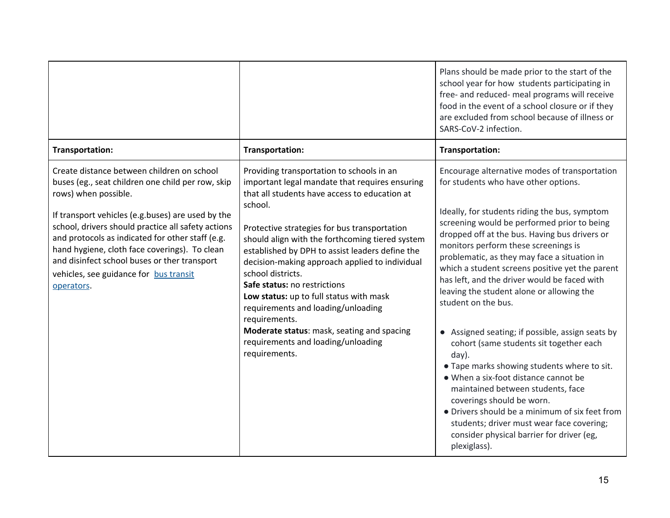|                                                                                                                                                                                                                                                                                                                                                                                                                                                 |                                                                                                                                                                                                                                                                                                                                                                                                                                                                                                                                                                                                                             | Plans should be made prior to the start of the<br>school year for how students participating in<br>free- and reduced- meal programs will receive<br>food in the event of a school closure or if they<br>are excluded from school because of illness or<br>SARS-CoV-2 infection.                                                                                                                                                                                                                                                                                                                                                                                                                                                                                                                                                                                                                                                    |
|-------------------------------------------------------------------------------------------------------------------------------------------------------------------------------------------------------------------------------------------------------------------------------------------------------------------------------------------------------------------------------------------------------------------------------------------------|-----------------------------------------------------------------------------------------------------------------------------------------------------------------------------------------------------------------------------------------------------------------------------------------------------------------------------------------------------------------------------------------------------------------------------------------------------------------------------------------------------------------------------------------------------------------------------------------------------------------------------|------------------------------------------------------------------------------------------------------------------------------------------------------------------------------------------------------------------------------------------------------------------------------------------------------------------------------------------------------------------------------------------------------------------------------------------------------------------------------------------------------------------------------------------------------------------------------------------------------------------------------------------------------------------------------------------------------------------------------------------------------------------------------------------------------------------------------------------------------------------------------------------------------------------------------------|
| Transportation:                                                                                                                                                                                                                                                                                                                                                                                                                                 | Transportation:                                                                                                                                                                                                                                                                                                                                                                                                                                                                                                                                                                                                             | Transportation:                                                                                                                                                                                                                                                                                                                                                                                                                                                                                                                                                                                                                                                                                                                                                                                                                                                                                                                    |
| Create distance between children on school<br>buses (eg., seat children one child per row, skip<br>rows) when possible.<br>If transport vehicles (e.g.buses) are used by the<br>school, drivers should practice all safety actions<br>and protocols as indicated for other staff (e.g.<br>hand hygiene, cloth face coverings). To clean<br>and disinfect school buses or ther transport<br>vehicles, see guidance for bus transit<br>operators. | Providing transportation to schools in an<br>important legal mandate that requires ensuring<br>that all students have access to education at<br>school.<br>Protective strategies for bus transportation<br>should align with the forthcoming tiered system<br>established by DPH to assist leaders define the<br>decision-making approach applied to individual<br>school districts.<br>Safe status: no restrictions<br>Low status: up to full status with mask<br>requirements and loading/unloading<br>requirements.<br>Moderate status: mask, seating and spacing<br>requirements and loading/unloading<br>requirements. | Encourage alternative modes of transportation<br>for students who have other options.<br>Ideally, for students riding the bus, symptom<br>screening would be performed prior to being<br>dropped off at the bus. Having bus drivers or<br>monitors perform these screenings is<br>problematic, as they may face a situation in<br>which a student screens positive yet the parent<br>has left, and the driver would be faced with<br>leaving the student alone or allowing the<br>student on the bus.<br>• Assigned seating; if possible, assign seats by<br>cohort (same students sit together each<br>day).<br>. Tape marks showing students where to sit.<br>. When a six-foot distance cannot be<br>maintained between students, face<br>coverings should be worn.<br>• Drivers should be a minimum of six feet from<br>students; driver must wear face covering;<br>consider physical barrier for driver (eg,<br>plexiglass). |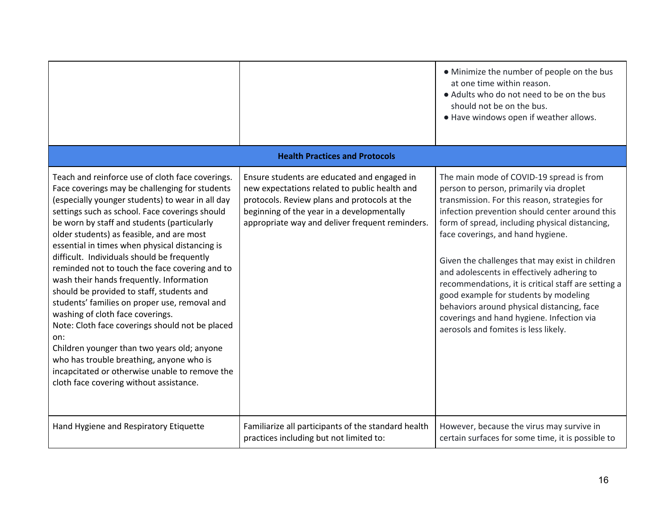|                                                                                                                                                                                                                                                                                                                                                                                                                                                                                                                                                                                                                                                                                                                                                                                                                                                                                         |                                                                                                                                                                                                                                               | • Minimize the number of people on the bus<br>at one time within reason.<br>• Adults who do not need to be on the bus<br>should not be on the bus.<br>. Have windows open if weather allows.                                                                                                                                                                                                                                                                                                                                                                                                                      |
|-----------------------------------------------------------------------------------------------------------------------------------------------------------------------------------------------------------------------------------------------------------------------------------------------------------------------------------------------------------------------------------------------------------------------------------------------------------------------------------------------------------------------------------------------------------------------------------------------------------------------------------------------------------------------------------------------------------------------------------------------------------------------------------------------------------------------------------------------------------------------------------------|-----------------------------------------------------------------------------------------------------------------------------------------------------------------------------------------------------------------------------------------------|-------------------------------------------------------------------------------------------------------------------------------------------------------------------------------------------------------------------------------------------------------------------------------------------------------------------------------------------------------------------------------------------------------------------------------------------------------------------------------------------------------------------------------------------------------------------------------------------------------------------|
|                                                                                                                                                                                                                                                                                                                                                                                                                                                                                                                                                                                                                                                                                                                                                                                                                                                                                         | <b>Health Practices and Protocols</b>                                                                                                                                                                                                         |                                                                                                                                                                                                                                                                                                                                                                                                                                                                                                                                                                                                                   |
| Teach and reinforce use of cloth face coverings.<br>Face coverings may be challenging for students<br>(especially younger students) to wear in all day<br>settings such as school. Face coverings should<br>be worn by staff and students (particularly<br>older students) as feasible, and are most<br>essential in times when physical distancing is<br>difficult. Individuals should be frequently<br>reminded not to touch the face covering and to<br>wash their hands frequently. Information<br>should be provided to staff, students and<br>students' families on proper use, removal and<br>washing of cloth face coverings.<br>Note: Cloth face coverings should not be placed<br>on:<br>Children younger than two years old; anyone<br>who has trouble breathing, anyone who is<br>incapcitated or otherwise unable to remove the<br>cloth face covering without assistance. | Ensure students are educated and engaged in<br>new expectations related to public health and<br>protocols. Review plans and protocols at the<br>beginning of the year in a developmentally<br>appropriate way and deliver frequent reminders. | The main mode of COVID-19 spread is from<br>person to person, primarily via droplet<br>transmission. For this reason, strategies for<br>infection prevention should center around this<br>form of spread, including physical distancing,<br>face coverings, and hand hygiene.<br>Given the challenges that may exist in children<br>and adolescents in effectively adhering to<br>recommendations, it is critical staff are setting a<br>good example for students by modeling<br>behaviors around physical distancing, face<br>coverings and hand hygiene. Infection via<br>aerosols and fomites is less likely. |
| Hand Hygiene and Respiratory Etiquette                                                                                                                                                                                                                                                                                                                                                                                                                                                                                                                                                                                                                                                                                                                                                                                                                                                  | Familiarize all participants of the standard health<br>practices including but not limited to:                                                                                                                                                | However, because the virus may survive in<br>certain surfaces for some time, it is possible to                                                                                                                                                                                                                                                                                                                                                                                                                                                                                                                    |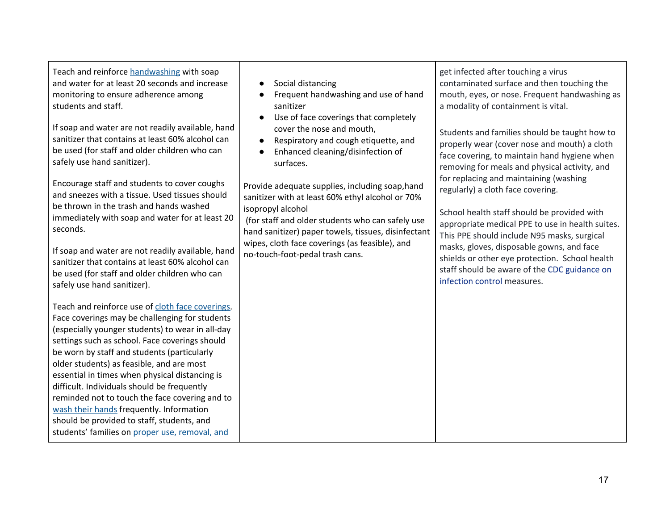Teach and reinforce [handwashing](https://www.cdc.gov/handwashing/when-how-handwashing.html) with soap and water for at least 20 seconds and increase monitoring to ensure adherence among students and staff.

If soap and water are not readily available, hand sanitizer that contains at least 60% alcohol can be used (for staff and older children who can safely use hand sanitizer).

Encourage staff and students to cover coughs and sneezes with a tissue. Used tissues should be thrown in the trash and hands washed immediately with soap and water for at least 20 seconds.

If soap and water are not readily available, hand sanitizer that contains at least 60% alcohol can be used (for staff and older children who can safely use hand sanitizer).

Teach and reinforce use of cloth face [coverings](https://www.cdc.gov/coronavirus/2019-ncov/prevent-getting-sick/diy-cloth-face-coverings.html). Face coverings may be challenging for students (especially younger students) to wear in all-day settings such as school. Face coverings should be worn by staff and students (particularly older students) as feasible, and are most essential in times when physical distancing is difficult. Individuals should be frequently reminded not to touch the face covering and to wash their [hands](https://www.cdc.gov/handwashing/when-how-handwashing.html) frequently. Information should be provided to staff, students, and students' families on proper use, [removal,](https://www.cdc.gov/coronavirus/2019-ncov/prevent-getting-sick/diy-cloth-face-coverings.html) and

## ● Social distancing

- Frequent handwashing and use of hand sanitizer
- Use of face coverings that completely cover the nose and mouth,
- Respiratory and cough etiquette, and
- Enhanced cleaning/disinfection of surfaces.

Provide adequate supplies, including soap,hand sanitizer with at least 60% ethyl alcohol or 70% isopropyl alcohol

(for staff and older students who can safely use hand sanitizer) paper towels, tissues, disinfectant wipes, cloth face coverings (as feasible), and no-touch-foot-pedal trash cans.

get infected after touching a virus contaminated surface and then touching the mouth, eyes, or nose. Frequent handwashing as a modality of containment is vital.

Students and families should be taught how to properly wear (cover nose and mouth) a cloth face covering, to maintain hand hygiene when removing for meals and physical activity, and for replacing and maintaining (washing regularly) a cloth face covering.

School health staff should be provided with appropriate medical PPE to use in health suites. This PPE should include N95 masks, surgical masks, gloves, disposable gowns, and face shields or other eye protection. School health staff should be aware of the CDC [guidance](https://www.cdc.gov/coronavirus/2019-ncov/hcp/infection-control-faq.html#asymptomatic) on [infection](https://www.cdc.gov/coronavirus/2019-ncov/hcp/infection-control-faq.html#asymptomatic) control measures.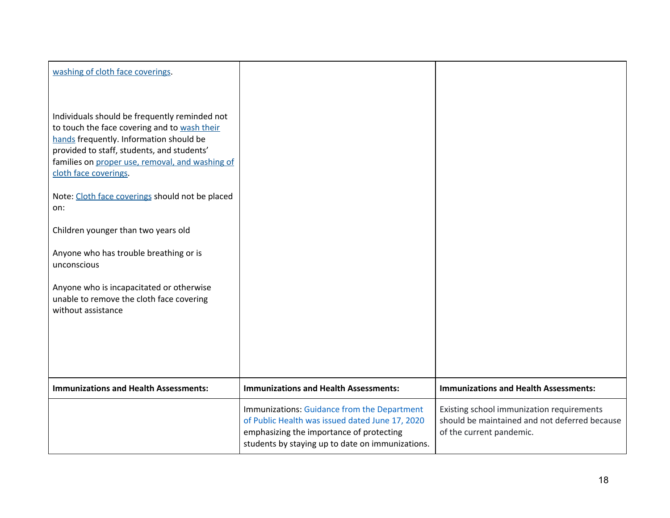| washing of cloth face coverings.                                                                                                                                                                                                                                   |                                                                                                                                                                                                |                                                                                                                        |
|--------------------------------------------------------------------------------------------------------------------------------------------------------------------------------------------------------------------------------------------------------------------|------------------------------------------------------------------------------------------------------------------------------------------------------------------------------------------------|------------------------------------------------------------------------------------------------------------------------|
| Individuals should be frequently reminded not<br>to touch the face covering and to wash their<br>hands frequently. Information should be<br>provided to staff, students, and students'<br>families on proper use, removal, and washing of<br>cloth face coverings. |                                                                                                                                                                                                |                                                                                                                        |
| Note: Cloth face coverings should not be placed<br>on:                                                                                                                                                                                                             |                                                                                                                                                                                                |                                                                                                                        |
| Children younger than two years old                                                                                                                                                                                                                                |                                                                                                                                                                                                |                                                                                                                        |
| Anyone who has trouble breathing or is<br>unconscious                                                                                                                                                                                                              |                                                                                                                                                                                                |                                                                                                                        |
| Anyone who is incapacitated or otherwise<br>unable to remove the cloth face covering<br>without assistance                                                                                                                                                         |                                                                                                                                                                                                |                                                                                                                        |
|                                                                                                                                                                                                                                                                    |                                                                                                                                                                                                |                                                                                                                        |
| <b>Immunizations and Health Assessments:</b>                                                                                                                                                                                                                       | <b>Immunizations and Health Assessments:</b>                                                                                                                                                   | <b>Immunizations and Health Assessments:</b>                                                                           |
|                                                                                                                                                                                                                                                                    | Immunizations: Guidance from the Department<br>of Public Health was issued dated June 17, 2020<br>emphasizing the importance of protecting<br>students by staying up to date on immunizations. | Existing school immunization requirements<br>should be maintained and not deferred because<br>of the current pandemic. |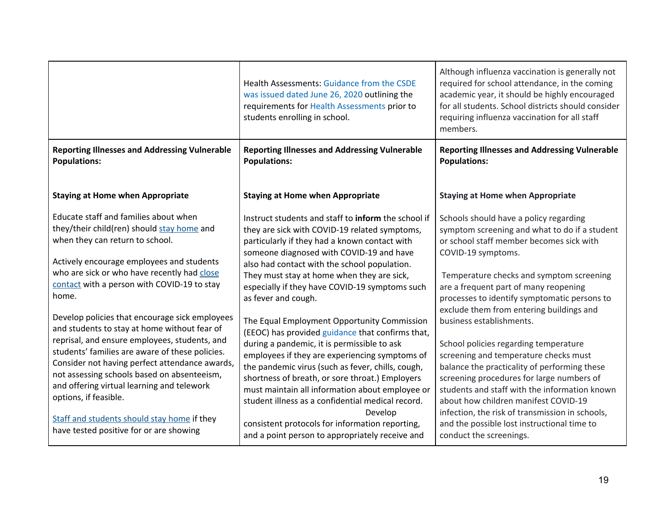|                                                                                                                                                                                                                                                                                                                                                                            | Health Assessments: Guidance from the CSDE<br>was issued dated June 26, 2020 outlining the<br>requirements for Health Assessments prior to<br>students enrolling in school.                                                                                                                                                                                                                                                 | Although influenza vaccination is generally not<br>required for school attendance, in the coming<br>academic year, it should be highly encouraged<br>for all students. School districts should consider<br>requiring influenza vaccination for all staff<br>members.                                                                                |
|----------------------------------------------------------------------------------------------------------------------------------------------------------------------------------------------------------------------------------------------------------------------------------------------------------------------------------------------------------------------------|-----------------------------------------------------------------------------------------------------------------------------------------------------------------------------------------------------------------------------------------------------------------------------------------------------------------------------------------------------------------------------------------------------------------------------|-----------------------------------------------------------------------------------------------------------------------------------------------------------------------------------------------------------------------------------------------------------------------------------------------------------------------------------------------------|
| <b>Reporting Illnesses and Addressing Vulnerable</b><br><b>Populations:</b>                                                                                                                                                                                                                                                                                                | <b>Reporting Illnesses and Addressing Vulnerable</b><br><b>Populations:</b>                                                                                                                                                                                                                                                                                                                                                 | <b>Reporting Illnesses and Addressing Vulnerable</b><br><b>Populations:</b>                                                                                                                                                                                                                                                                         |
| <b>Staying at Home when Appropriate</b>                                                                                                                                                                                                                                                                                                                                    | <b>Staying at Home when Appropriate</b>                                                                                                                                                                                                                                                                                                                                                                                     | <b>Staying at Home when Appropriate</b>                                                                                                                                                                                                                                                                                                             |
| Educate staff and families about when<br>they/their child(ren) should stay home and<br>when they can return to school.<br>Actively encourage employees and students<br>who are sick or who have recently had close<br>contact with a person with COVID-19 to stay                                                                                                          | Instruct students and staff to inform the school if<br>they are sick with COVID-19 related symptoms,<br>particularly if they had a known contact with<br>someone diagnosed with COVID-19 and have<br>also had contact with the school population.<br>They must stay at home when they are sick,                                                                                                                             | Schools should have a policy regarding<br>symptom screening and what to do if a student<br>or school staff member becomes sick with<br>COVID-19 symptoms.<br>Temperature checks and symptom screening                                                                                                                                               |
| home.                                                                                                                                                                                                                                                                                                                                                                      | especially if they have COVID-19 symptoms such<br>as fever and cough.                                                                                                                                                                                                                                                                                                                                                       | are a frequent part of many reopening<br>processes to identify symptomatic persons to<br>exclude them from entering buildings and                                                                                                                                                                                                                   |
| Develop policies that encourage sick employees<br>and students to stay at home without fear of<br>reprisal, and ensure employees, students, and<br>students' families are aware of these policies.<br>Consider not having perfect attendance awards,<br>not assessing schools based on absenteeism,<br>and offering virtual learning and telework<br>options, if feasible. | The Equal Employment Opportunity Commission<br>(EEOC) has provided guidance that confirms that,<br>during a pandemic, it is permissible to ask<br>employees if they are experiencing symptoms of<br>the pandemic virus (such as fever, chills, cough,<br>shortness of breath, or sore throat.) Employers<br>must maintain all information about employee or<br>student illness as a confidential medical record.<br>Develop | business establishments.<br>School policies regarding temperature<br>screening and temperature checks must<br>balance the practicality of performing these<br>screening procedures for large numbers of<br>students and staff with the information known<br>about how children manifest COVID-19<br>infection, the risk of transmission in schools, |
| Staff and students should stay home if they<br>have tested positive for or are showing                                                                                                                                                                                                                                                                                     | consistent protocols for information reporting,<br>and a point person to appropriately receive and                                                                                                                                                                                                                                                                                                                          | and the possible lost instructional time to<br>conduct the screenings.                                                                                                                                                                                                                                                                              |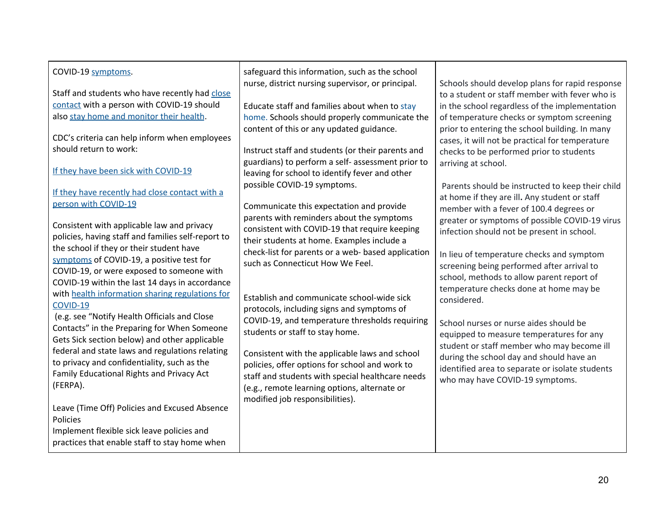| COVID-19 symptoms.<br>Staff and students who have recently had close<br>contact with a person with COVID-19 should<br>also stay home and monitor their health.<br>CDC's criteria can help inform when employees<br>should return to work:<br>If they have been sick with COVID-19<br>If they have recently had close contact with a<br>person with COVID-19<br>Consistent with applicable law and privacy<br>policies, having staff and families self-report to<br>the school if they or their student have<br>symptoms of COVID-19, a positive test for<br>COVID-19, or were exposed to someone with<br>COVID-19 within the last 14 days in accordance<br>with health information sharing regulations for<br><b>COVID-19</b><br>(e.g. see "Notify Health Officials and Close<br>Contacts" in the Preparing for When Someone<br>Gets Sick section below) and other applicable<br>federal and state laws and regulations relating<br>to privacy and confidentiality, such as the<br>Family Educational Rights and Privacy Act<br>(FERPA).<br>Leave (Time Off) Policies and Excused Absence<br>Policies<br>Implement flexible sick leave policies and<br>practices that enable staff to stay home when | safeguard this information, such as the school<br>nurse, district nursing supervisor, or principal.<br>Educate staff and families about when to stay<br>home. Schools should properly communicate the<br>content of this or any updated guidance.<br>Instruct staff and students (or their parents and<br>guardians) to perform a self- assessment prior to<br>leaving for school to identify fever and other<br>possible COVID-19 symptoms.<br>Communicate this expectation and provide<br>parents with reminders about the symptoms<br>consistent with COVID-19 that require keeping<br>their students at home. Examples include a<br>check-list for parents or a web- based application<br>such as Connecticut How We Feel.<br>Establish and communicate school-wide sick<br>protocols, including signs and symptoms of<br>COVID-19, and temperature thresholds requiring<br>students or staff to stay home.<br>Consistent with the applicable laws and school<br>policies, offer options for school and work to<br>staff and students with special healthcare needs<br>(e.g., remote learning options, alternate or<br>modified job responsibilities). | Schools should develop plans for rapid response<br>to a student or staff member with fever who is<br>in the school regardless of the implementation<br>of temperature checks or symptom screening<br>prior to entering the school building. In many<br>cases, it will not be practical for temperature<br>checks to be performed prior to students<br>arriving at school.<br>Parents should be instructed to keep their child<br>at home if they are ill. Any student or staff<br>member with a fever of 100.4 degrees or<br>greater or symptoms of possible COVID-19 virus<br>infection should not be present in school.<br>In lieu of temperature checks and symptom<br>screening being performed after arrival to<br>school, methods to allow parent report of<br>temperature checks done at home may be<br>considered.<br>School nurses or nurse aides should be<br>equipped to measure temperatures for any<br>student or staff member who may become ill<br>during the school day and should have an<br>identified area to separate or isolate students<br>who may have COVID-19 symptoms. |
|------------------------------------------------------------------------------------------------------------------------------------------------------------------------------------------------------------------------------------------------------------------------------------------------------------------------------------------------------------------------------------------------------------------------------------------------------------------------------------------------------------------------------------------------------------------------------------------------------------------------------------------------------------------------------------------------------------------------------------------------------------------------------------------------------------------------------------------------------------------------------------------------------------------------------------------------------------------------------------------------------------------------------------------------------------------------------------------------------------------------------------------------------------------------------------------------------|------------------------------------------------------------------------------------------------------------------------------------------------------------------------------------------------------------------------------------------------------------------------------------------------------------------------------------------------------------------------------------------------------------------------------------------------------------------------------------------------------------------------------------------------------------------------------------------------------------------------------------------------------------------------------------------------------------------------------------------------------------------------------------------------------------------------------------------------------------------------------------------------------------------------------------------------------------------------------------------------------------------------------------------------------------------------------------------------------------------------------------------------------------|--------------------------------------------------------------------------------------------------------------------------------------------------------------------------------------------------------------------------------------------------------------------------------------------------------------------------------------------------------------------------------------------------------------------------------------------------------------------------------------------------------------------------------------------------------------------------------------------------------------------------------------------------------------------------------------------------------------------------------------------------------------------------------------------------------------------------------------------------------------------------------------------------------------------------------------------------------------------------------------------------------------------------------------------------------------------------------------------------|
|------------------------------------------------------------------------------------------------------------------------------------------------------------------------------------------------------------------------------------------------------------------------------------------------------------------------------------------------------------------------------------------------------------------------------------------------------------------------------------------------------------------------------------------------------------------------------------------------------------------------------------------------------------------------------------------------------------------------------------------------------------------------------------------------------------------------------------------------------------------------------------------------------------------------------------------------------------------------------------------------------------------------------------------------------------------------------------------------------------------------------------------------------------------------------------------------------|------------------------------------------------------------------------------------------------------------------------------------------------------------------------------------------------------------------------------------------------------------------------------------------------------------------------------------------------------------------------------------------------------------------------------------------------------------------------------------------------------------------------------------------------------------------------------------------------------------------------------------------------------------------------------------------------------------------------------------------------------------------------------------------------------------------------------------------------------------------------------------------------------------------------------------------------------------------------------------------------------------------------------------------------------------------------------------------------------------------------------------------------------------|--------------------------------------------------------------------------------------------------------------------------------------------------------------------------------------------------------------------------------------------------------------------------------------------------------------------------------------------------------------------------------------------------------------------------------------------------------------------------------------------------------------------------------------------------------------------------------------------------------------------------------------------------------------------------------------------------------------------------------------------------------------------------------------------------------------------------------------------------------------------------------------------------------------------------------------------------------------------------------------------------------------------------------------------------------------------------------------------------|

┯

 $\mathsf{r}$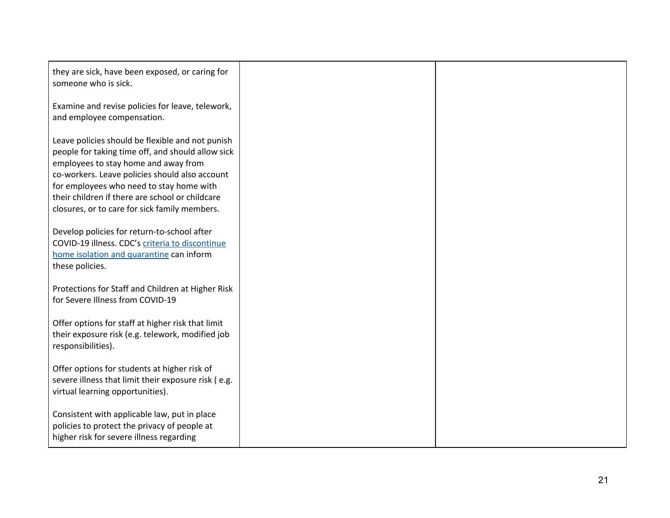| they are sick, have been exposed, or caring for<br>someone who is sick.                                                                                                                                                                                                                                                                         |  |
|-------------------------------------------------------------------------------------------------------------------------------------------------------------------------------------------------------------------------------------------------------------------------------------------------------------------------------------------------|--|
| Examine and revise policies for leave, telework,<br>and employee compensation.                                                                                                                                                                                                                                                                  |  |
| Leave policies should be flexible and not punish<br>people for taking time off, and should allow sick<br>employees to stay home and away from<br>co-workers. Leave policies should also account<br>for employees who need to stay home with<br>their children if there are school or childcare<br>closures, or to care for sick family members. |  |
| Develop policies for return-to-school after<br>COVID-19 illness. CDC's criteria to discontinue<br>home isolation and quarantine can inform<br>these policies.                                                                                                                                                                                   |  |
| Protections for Staff and Children at Higher Risk<br>for Severe Illness from COVID-19                                                                                                                                                                                                                                                           |  |
| Offer options for staff at higher risk that limit<br>their exposure risk (e.g. telework, modified job<br>responsibilities).                                                                                                                                                                                                                     |  |
| Offer options for students at higher risk of<br>severe illness that limit their exposure risk (e.g.<br>virtual learning opportunities).                                                                                                                                                                                                         |  |
| Consistent with applicable law, put in place<br>policies to protect the privacy of people at<br>higher risk for severe illness regarding                                                                                                                                                                                                        |  |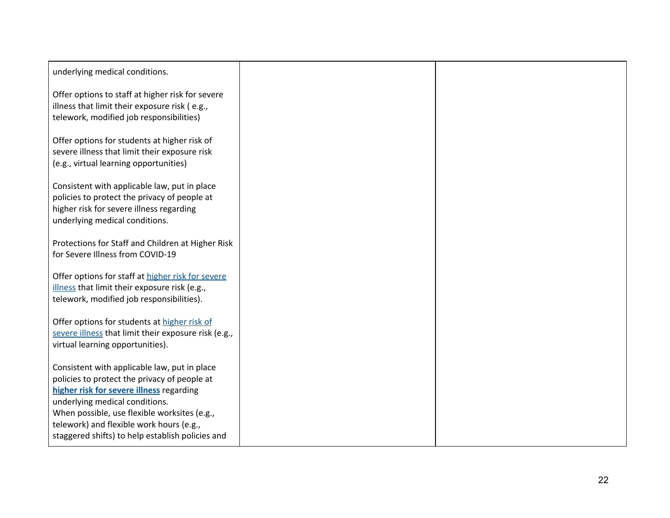| underlying medical conditions.                                                                                                                                                                                                                                                                                             |  |
|----------------------------------------------------------------------------------------------------------------------------------------------------------------------------------------------------------------------------------------------------------------------------------------------------------------------------|--|
| Offer options to staff at higher risk for severe<br>illness that limit their exposure risk (e.g.,<br>telework, modified job responsibilities)                                                                                                                                                                              |  |
| Offer options for students at higher risk of<br>severe illness that limit their exposure risk<br>(e.g., virtual learning opportunities)                                                                                                                                                                                    |  |
| Consistent with applicable law, put in place<br>policies to protect the privacy of people at<br>higher risk for severe illness regarding<br>underlying medical conditions.                                                                                                                                                 |  |
| Protections for Staff and Children at Higher Risk<br>for Severe Illness from COVID-19                                                                                                                                                                                                                                      |  |
| Offer options for staff at higher risk for severe<br>illness that limit their exposure risk (e.g.,<br>telework, modified job responsibilities).                                                                                                                                                                            |  |
| Offer options for students at higher risk of<br>severe illness that limit their exposure risk (e.g.,<br>virtual learning opportunities).                                                                                                                                                                                   |  |
| Consistent with applicable law, put in place<br>policies to protect the privacy of people at<br>higher risk for severe illness regarding<br>underlying medical conditions.<br>When possible, use flexible worksites (e.g.,<br>telework) and flexible work hours (e.g.,<br>staggered shifts) to help establish policies and |  |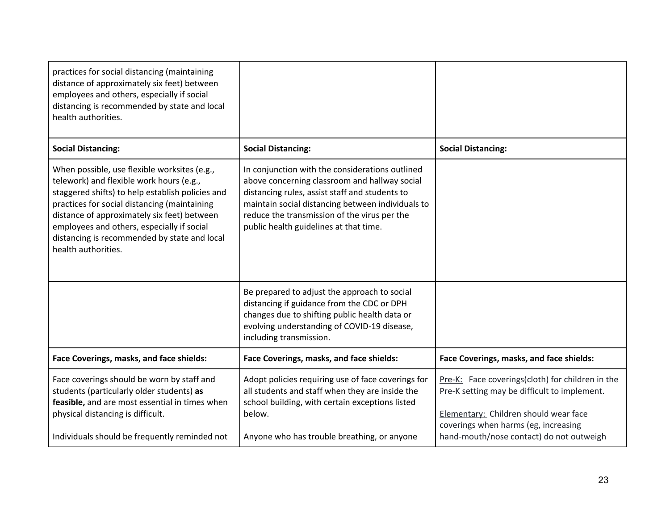| practices for social distancing (maintaining<br>distance of approximately six feet) between<br>employees and others, especially if social<br>distancing is recommended by state and local<br>health authorities.                                                                                                                                                 |                                                                                                                                                                                                                                                                                                   |                                                                                                                                                                                                                               |
|------------------------------------------------------------------------------------------------------------------------------------------------------------------------------------------------------------------------------------------------------------------------------------------------------------------------------------------------------------------|---------------------------------------------------------------------------------------------------------------------------------------------------------------------------------------------------------------------------------------------------------------------------------------------------|-------------------------------------------------------------------------------------------------------------------------------------------------------------------------------------------------------------------------------|
| <b>Social Distancing:</b>                                                                                                                                                                                                                                                                                                                                        | <b>Social Distancing:</b>                                                                                                                                                                                                                                                                         | <b>Social Distancing:</b>                                                                                                                                                                                                     |
| When possible, use flexible worksites (e.g.,<br>telework) and flexible work hours (e.g.,<br>staggered shifts) to help establish policies and<br>practices for social distancing (maintaining<br>distance of approximately six feet) between<br>employees and others, especially if social<br>distancing is recommended by state and local<br>health authorities. | In conjunction with the considerations outlined<br>above concerning classroom and hallway social<br>distancing rules, assist staff and students to<br>maintain social distancing between individuals to<br>reduce the transmission of the virus per the<br>public health guidelines at that time. |                                                                                                                                                                                                                               |
|                                                                                                                                                                                                                                                                                                                                                                  | Be prepared to adjust the approach to social<br>distancing if guidance from the CDC or DPH<br>changes due to shifting public health data or<br>evolving understanding of COVID-19 disease,<br>including transmission.                                                                             |                                                                                                                                                                                                                               |
| Face Coverings, masks, and face shields:                                                                                                                                                                                                                                                                                                                         | Face Coverings, masks, and face shields:                                                                                                                                                                                                                                                          | Face Coverings, masks, and face shields:                                                                                                                                                                                      |
| Face coverings should be worn by staff and<br>students (particularly older students) as<br>feasible, and are most essential in times when<br>physical distancing is difficult.<br>Individuals should be frequently reminded not                                                                                                                                  | Adopt policies requiring use of face coverings for<br>all students and staff when they are inside the<br>school building, with certain exceptions listed<br>below.<br>Anyone who has trouble breathing, or anyone                                                                                 | Pre-K: Face coverings(cloth) for children in the<br>Pre-K setting may be difficult to implement.<br>Elementary: Children should wear face<br>coverings when harms (eg, increasing<br>hand-mouth/nose contact) do not outweigh |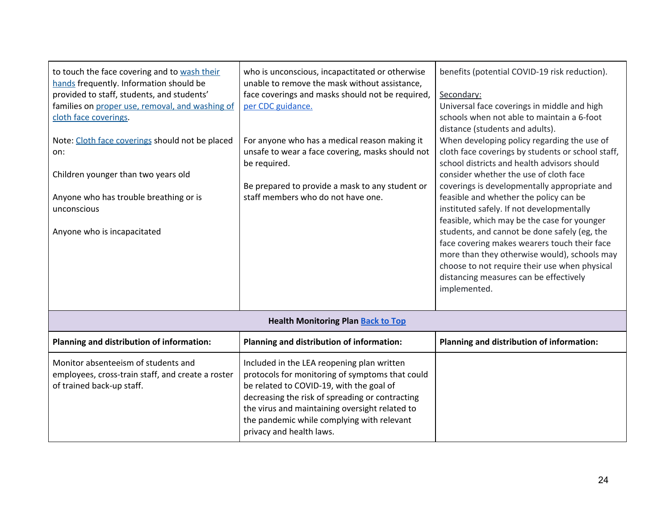| to touch the face covering and to wash their<br>hands frequently. Information should be<br>provided to staff, students, and students'<br>families on proper use, removal, and washing of<br>cloth face coverings.<br>Note: Cloth face coverings should not be placed<br>on:<br>Children younger than two years old<br>Anyone who has trouble breathing or is<br>unconscious<br>Anyone who is incapacitated | who is unconscious, incapactitated or otherwise<br>unable to remove the mask without assistance,<br>face coverings and masks should not be required,<br>per CDC guidance.<br>For anyone who has a medical reason making it<br>unsafe to wear a face covering, masks should not<br>be required.<br>Be prepared to provide a mask to any student or<br>staff members who do not have one. | benefits (potential COVID-19 risk reduction).<br>Secondary:<br>Universal face coverings in middle and high<br>schools when not able to maintain a 6-foot<br>distance (students and adults).<br>When developing policy regarding the use of<br>cloth face coverings by students or school staff,<br>school districts and health advisors should<br>consider whether the use of cloth face<br>coverings is developmentally appropriate and<br>feasible and whether the policy can be<br>instituted safely. If not developmentally<br>feasible, which may be the case for younger<br>students, and cannot be done safely (eg, the<br>face covering makes wearers touch their face<br>more than they otherwise would), schools may<br>choose to not require their use when physical<br>distancing measures can be effectively<br>implemented. |
|------------------------------------------------------------------------------------------------------------------------------------------------------------------------------------------------------------------------------------------------------------------------------------------------------------------------------------------------------------------------------------------------------------|-----------------------------------------------------------------------------------------------------------------------------------------------------------------------------------------------------------------------------------------------------------------------------------------------------------------------------------------------------------------------------------------|-------------------------------------------------------------------------------------------------------------------------------------------------------------------------------------------------------------------------------------------------------------------------------------------------------------------------------------------------------------------------------------------------------------------------------------------------------------------------------------------------------------------------------------------------------------------------------------------------------------------------------------------------------------------------------------------------------------------------------------------------------------------------------------------------------------------------------------------|
|                                                                                                                                                                                                                                                                                                                                                                                                            | <b>Health Monitoring Plan Back to Top</b>                                                                                                                                                                                                                                                                                                                                               |                                                                                                                                                                                                                                                                                                                                                                                                                                                                                                                                                                                                                                                                                                                                                                                                                                           |
| Planning and distribution of information:                                                                                                                                                                                                                                                                                                                                                                  | Planning and distribution of information:                                                                                                                                                                                                                                                                                                                                               | Planning and distribution of information:                                                                                                                                                                                                                                                                                                                                                                                                                                                                                                                                                                                                                                                                                                                                                                                                 |
| Monitor absenteeism of students and<br>employees, cross-train staff, and create a roster<br>of trained back-up staff.                                                                                                                                                                                                                                                                                      | Included in the LEA reopening plan written<br>protocols for monitoring of symptoms that could<br>be related to COVID-19, with the goal of<br>decreasing the risk of spreading or contracting<br>the virus and maintaining oversight related to<br>the pandemic while complying with relevant<br>privacy and health laws.                                                                |                                                                                                                                                                                                                                                                                                                                                                                                                                                                                                                                                                                                                                                                                                                                                                                                                                           |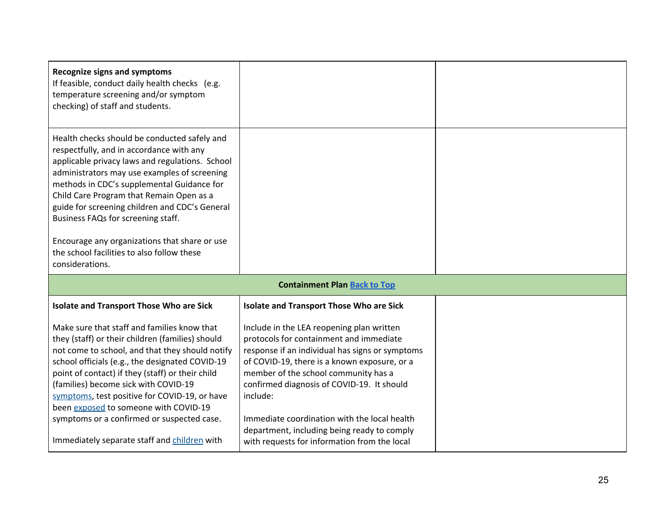| <b>Recognize signs and symptoms</b><br>If feasible, conduct daily health checks (e.g.<br>temperature screening and/or symptom<br>checking) of staff and students.                                                                                                                                                                                                                                                                                                                               |                                                                                                                                                                                                                                                                                                                                                                                                                                          |  |
|-------------------------------------------------------------------------------------------------------------------------------------------------------------------------------------------------------------------------------------------------------------------------------------------------------------------------------------------------------------------------------------------------------------------------------------------------------------------------------------------------|------------------------------------------------------------------------------------------------------------------------------------------------------------------------------------------------------------------------------------------------------------------------------------------------------------------------------------------------------------------------------------------------------------------------------------------|--|
| Health checks should be conducted safely and<br>respectfully, and in accordance with any<br>applicable privacy laws and regulations. School<br>administrators may use examples of screening<br>methods in CDC's supplemental Guidance for<br>Child Care Program that Remain Open as a<br>guide for screening children and CDC's General<br>Business FAQs for screening staff.<br>Encourage any organizations that share or use<br>the school facilities to also follow these<br>considerations. |                                                                                                                                                                                                                                                                                                                                                                                                                                          |  |
|                                                                                                                                                                                                                                                                                                                                                                                                                                                                                                 | <b>Containment Plan Back to Top</b>                                                                                                                                                                                                                                                                                                                                                                                                      |  |
| <b>Isolate and Transport Those Who are Sick</b>                                                                                                                                                                                                                                                                                                                                                                                                                                                 | <b>Isolate and Transport Those Who are Sick</b>                                                                                                                                                                                                                                                                                                                                                                                          |  |
| Make sure that staff and families know that<br>they (staff) or their children (families) should<br>not come to school, and that they should notify<br>school officials (e.g., the designated COVID-19<br>point of contact) if they (staff) or their child<br>(families) become sick with COVID-19<br>symptoms, test positive for COVID-19, or have<br>been exposed to someone with COVID-19<br>symptoms or a confirmed or suspected case.<br>Immediately separate staff and children with       | Include in the LEA reopening plan written<br>protocols for containment and immediate<br>response if an individual has signs or symptoms<br>of COVID-19, there is a known exposure, or a<br>member of the school community has a<br>confirmed diagnosis of COVID-19. It should<br>include:<br>Immediate coordination with the local health<br>department, including being ready to comply<br>with requests for information from the local |  |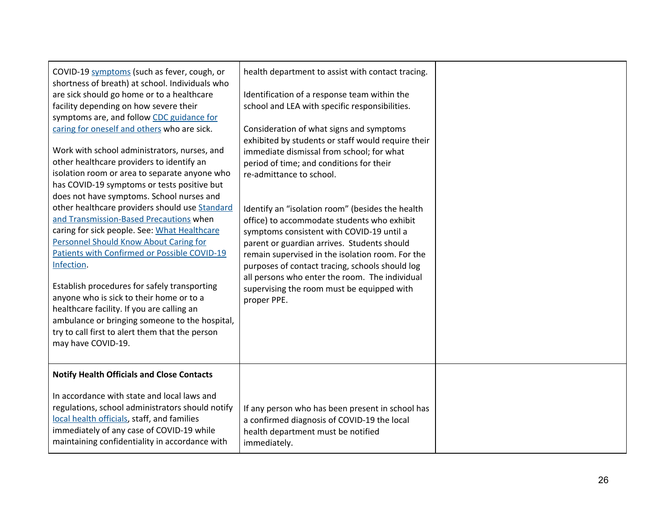| COVID-19 symptoms (such as fever, cough, or<br>shortness of breath) at school. Individuals who<br>are sick should go home or to a healthcare<br>facility depending on how severe their<br>symptoms are, and follow CDC guidance for<br>caring for oneself and others who are sick.<br>Work with school administrators, nurses, and<br>other healthcare providers to identify an<br>isolation room or area to separate anyone who<br>has COVID-19 symptoms or tests positive but<br>does not have symptoms. School nurses and<br>other healthcare providers should use Standard<br>and Transmission-Based Precautions when<br>caring for sick people. See: What Healthcare<br><b>Personnel Should Know About Caring for</b><br>Patients with Confirmed or Possible COVID-19<br>Infection.<br>Establish procedures for safely transporting<br>anyone who is sick to their home or to a<br>healthcare facility. If you are calling an<br>ambulance or bringing someone to the hospital,<br>try to call first to alert them that the person<br>may have COVID-19. | health department to assist with contact tracing.<br>Identification of a response team within the<br>school and LEA with specific responsibilities.<br>Consideration of what signs and symptoms<br>exhibited by students or staff would require their<br>immediate dismissal from school; for what<br>period of time; and conditions for their<br>re-admittance to school.<br>Identify an "isolation room" (besides the health<br>office) to accommodate students who exhibit<br>symptoms consistent with COVID-19 until a<br>parent or guardian arrives. Students should<br>remain supervised in the isolation room. For the<br>purposes of contact tracing, schools should log<br>all persons who enter the room. The individual<br>supervising the room must be equipped with<br>proper PPE. |  |
|---------------------------------------------------------------------------------------------------------------------------------------------------------------------------------------------------------------------------------------------------------------------------------------------------------------------------------------------------------------------------------------------------------------------------------------------------------------------------------------------------------------------------------------------------------------------------------------------------------------------------------------------------------------------------------------------------------------------------------------------------------------------------------------------------------------------------------------------------------------------------------------------------------------------------------------------------------------------------------------------------------------------------------------------------------------|-------------------------------------------------------------------------------------------------------------------------------------------------------------------------------------------------------------------------------------------------------------------------------------------------------------------------------------------------------------------------------------------------------------------------------------------------------------------------------------------------------------------------------------------------------------------------------------------------------------------------------------------------------------------------------------------------------------------------------------------------------------------------------------------------|--|
| <b>Notify Health Officials and Close Contacts</b><br>In accordance with state and local laws and<br>regulations, school administrators should notify<br>local health officials, staff, and families<br>immediately of any case of COVID-19 while<br>maintaining confidentiality in accordance with                                                                                                                                                                                                                                                                                                                                                                                                                                                                                                                                                                                                                                                                                                                                                            | If any person who has been present in school has<br>a confirmed diagnosis of COVID-19 the local<br>health department must be notified<br>immediately.                                                                                                                                                                                                                                                                                                                                                                                                                                                                                                                                                                                                                                           |  |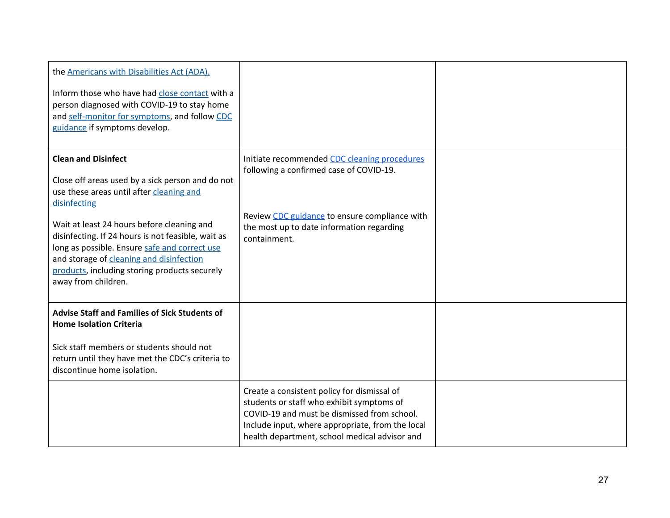| the Americans with Disabilities Act (ADA).<br>Inform those who have had close contact with a<br>person diagnosed with COVID-19 to stay home<br>and self-monitor for symptoms, and follow CDC<br>guidance if symptoms develop.                                                                                                                                                                                       |                                                                                                                                                                                                                                              |  |
|---------------------------------------------------------------------------------------------------------------------------------------------------------------------------------------------------------------------------------------------------------------------------------------------------------------------------------------------------------------------------------------------------------------------|----------------------------------------------------------------------------------------------------------------------------------------------------------------------------------------------------------------------------------------------|--|
| <b>Clean and Disinfect</b><br>Close off areas used by a sick person and do not<br>use these areas until after cleaning and<br>disinfecting<br>Wait at least 24 hours before cleaning and<br>disinfecting. If 24 hours is not feasible, wait as<br>long as possible. Ensure safe and correct use<br>and storage of cleaning and disinfection<br>products, including storing products securely<br>away from children. | Initiate recommended CDC cleaning procedures<br>following a confirmed case of COVID-19.<br>Review CDC guidance to ensure compliance with<br>the most up to date information regarding<br>containment.                                        |  |
| <b>Advise Staff and Families of Sick Students of</b><br><b>Home Isolation Criteria</b><br>Sick staff members or students should not<br>return until they have met the CDC's criteria to<br>discontinue home isolation.                                                                                                                                                                                              |                                                                                                                                                                                                                                              |  |
|                                                                                                                                                                                                                                                                                                                                                                                                                     | Create a consistent policy for dismissal of<br>students or staff who exhibit symptoms of<br>COVID-19 and must be dismissed from school.<br>Include input, where appropriate, from the local<br>health department, school medical advisor and |  |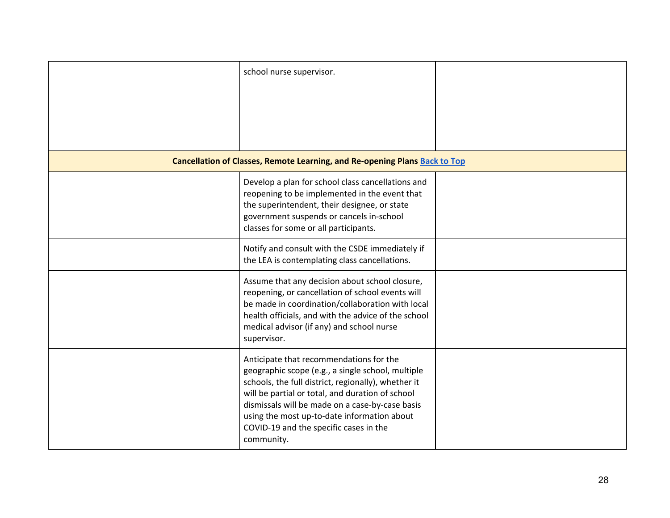| school nurse supervisor.                                                                                                                                                                                                                                                                                                                                          |  |
|-------------------------------------------------------------------------------------------------------------------------------------------------------------------------------------------------------------------------------------------------------------------------------------------------------------------------------------------------------------------|--|
|                                                                                                                                                                                                                                                                                                                                                                   |  |
| Cancellation of Classes, Remote Learning, and Re-opening Plans Back to Top                                                                                                                                                                                                                                                                                        |  |
| Develop a plan for school class cancellations and<br>reopening to be implemented in the event that<br>the superintendent, their designee, or state<br>government suspends or cancels in-school<br>classes for some or all participants.                                                                                                                           |  |
| Notify and consult with the CSDE immediately if<br>the LEA is contemplating class cancellations.                                                                                                                                                                                                                                                                  |  |
| Assume that any decision about school closure,<br>reopening, or cancellation of school events will<br>be made in coordination/collaboration with local<br>health officials, and with the advice of the school<br>medical advisor (if any) and school nurse<br>supervisor.                                                                                         |  |
| Anticipate that recommendations for the<br>geographic scope (e.g., a single school, multiple<br>schools, the full district, regionally), whether it<br>will be partial or total, and duration of school<br>dismissals will be made on a case-by-case basis<br>using the most up-to-date information about<br>COVID-19 and the specific cases in the<br>community. |  |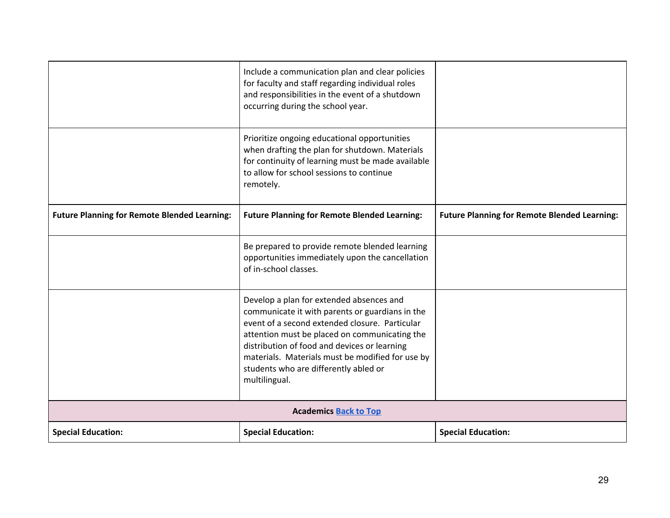|                                                     | Include a communication plan and clear policies<br>for faculty and staff regarding individual roles<br>and responsibilities in the event of a shutdown<br>occurring during the school year.                                                                                                                                                                  |                                                     |  |
|-----------------------------------------------------|--------------------------------------------------------------------------------------------------------------------------------------------------------------------------------------------------------------------------------------------------------------------------------------------------------------------------------------------------------------|-----------------------------------------------------|--|
|                                                     | Prioritize ongoing educational opportunities<br>when drafting the plan for shutdown. Materials<br>for continuity of learning must be made available<br>to allow for school sessions to continue<br>remotely.                                                                                                                                                 |                                                     |  |
| <b>Future Planning for Remote Blended Learning:</b> | <b>Future Planning for Remote Blended Learning:</b>                                                                                                                                                                                                                                                                                                          | <b>Future Planning for Remote Blended Learning:</b> |  |
|                                                     | Be prepared to provide remote blended learning<br>opportunities immediately upon the cancellation<br>of in-school classes.                                                                                                                                                                                                                                   |                                                     |  |
|                                                     | Develop a plan for extended absences and<br>communicate it with parents or guardians in the<br>event of a second extended closure. Particular<br>attention must be placed on communicating the<br>distribution of food and devices or learning<br>materials. Materials must be modified for use by<br>students who are differently abled or<br>multilingual. |                                                     |  |
|                                                     | <b>Academics Back to Top</b>                                                                                                                                                                                                                                                                                                                                 |                                                     |  |
| <b>Special Education:</b>                           | <b>Special Education:</b>                                                                                                                                                                                                                                                                                                                                    | <b>Special Education:</b>                           |  |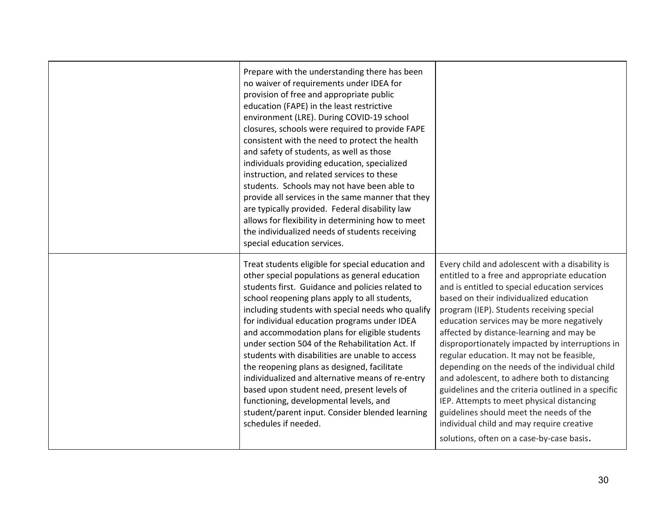| Prepare with the understanding there has been<br>no waiver of requirements under IDEA for<br>provision of free and appropriate public<br>education (FAPE) in the least restrictive<br>environment (LRE). During COVID-19 school<br>closures, schools were required to provide FAPE<br>consistent with the need to protect the health<br>and safety of students, as well as those<br>individuals providing education, specialized<br>instruction, and related services to these<br>students. Schools may not have been able to<br>provide all services in the same manner that they<br>are typically provided. Federal disability law<br>allows for flexibility in determining how to meet<br>the individualized needs of students receiving<br>special education services. |                                                                                                                                                                                                                                                                                                                                                                                                                                                                                                                                                                                                                                                                                                                                                                              |
|----------------------------------------------------------------------------------------------------------------------------------------------------------------------------------------------------------------------------------------------------------------------------------------------------------------------------------------------------------------------------------------------------------------------------------------------------------------------------------------------------------------------------------------------------------------------------------------------------------------------------------------------------------------------------------------------------------------------------------------------------------------------------|------------------------------------------------------------------------------------------------------------------------------------------------------------------------------------------------------------------------------------------------------------------------------------------------------------------------------------------------------------------------------------------------------------------------------------------------------------------------------------------------------------------------------------------------------------------------------------------------------------------------------------------------------------------------------------------------------------------------------------------------------------------------------|
| Treat students eligible for special education and<br>other special populations as general education<br>students first. Guidance and policies related to<br>school reopening plans apply to all students,<br>including students with special needs who qualify<br>for individual education programs under IDEA<br>and accommodation plans for eligible students<br>under section 504 of the Rehabilitation Act. If<br>students with disabilities are unable to access<br>the reopening plans as designed, facilitate<br>individualized and alternative means of re-entry<br>based upon student need, present levels of<br>functioning, developmental levels, and<br>student/parent input. Consider blended learning<br>schedules if needed.                                 | Every child and adolescent with a disability is<br>entitled to a free and appropriate education<br>and is entitled to special education services<br>based on their individualized education<br>program (IEP). Students receiving special<br>education services may be more negatively<br>affected by distance-learning and may be<br>disproportionately impacted by interruptions in<br>regular education. It may not be feasible,<br>depending on the needs of the individual child<br>and adolescent, to adhere both to distancing<br>guidelines and the criteria outlined in a specific<br>IEP. Attempts to meet physical distancing<br>guidelines should meet the needs of the<br>individual child and may require creative<br>solutions, often on a case-by-case basis. |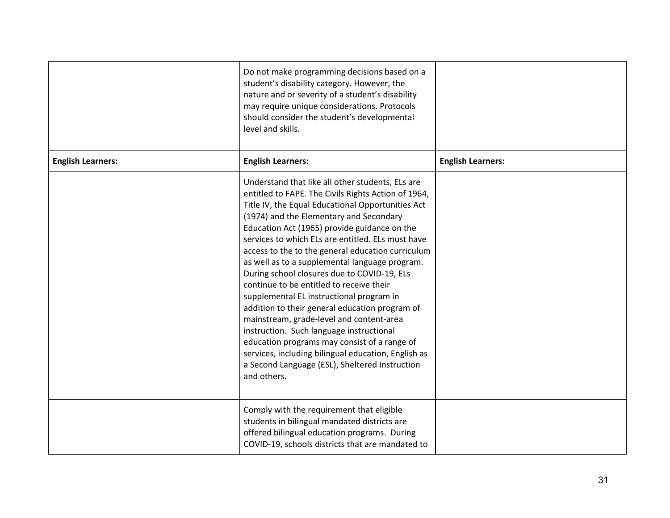|                          | Do not make programming decisions based on a<br>student's disability category. However, the<br>nature and or severity of a student's disability<br>may require unique considerations. Protocols<br>should consider the student's developmental<br>level and skills.                                                                                                                                                                                                                                                                                                                                                                                                                                                                                                                                                                                                          |                          |
|--------------------------|------------------------------------------------------------------------------------------------------------------------------------------------------------------------------------------------------------------------------------------------------------------------------------------------------------------------------------------------------------------------------------------------------------------------------------------------------------------------------------------------------------------------------------------------------------------------------------------------------------------------------------------------------------------------------------------------------------------------------------------------------------------------------------------------------------------------------------------------------------------------------|--------------------------|
| <b>English Learners:</b> | <b>English Learners:</b>                                                                                                                                                                                                                                                                                                                                                                                                                                                                                                                                                                                                                                                                                                                                                                                                                                                     | <b>English Learners:</b> |
|                          | Understand that like all other students, ELs are<br>entitled to FAPE. The Civils Rights Action of 1964,<br>Title IV, the Equal Educational Opportunities Act<br>(1974) and the Elementary and Secondary<br>Education Act (1965) provide guidance on the<br>services to which ELs are entitled. ELs must have<br>access to the to the general education curriculum<br>as well as to a supplemental language program.<br>During school closures due to COVID-19, ELs<br>continue to be entitled to receive their<br>supplemental EL instructional program in<br>addition to their general education program of<br>mainstream, grade-level and content-area<br>instruction. Such language instructional<br>education programs may consist of a range of<br>services, including bilingual education, English as<br>a Second Language (ESL), Sheltered Instruction<br>and others. |                          |
|                          | Comply with the requirement that eligible<br>students in bilingual mandated districts are<br>offered bilingual education programs. During<br>COVID-19, schools districts that are mandated to                                                                                                                                                                                                                                                                                                                                                                                                                                                                                                                                                                                                                                                                                |                          |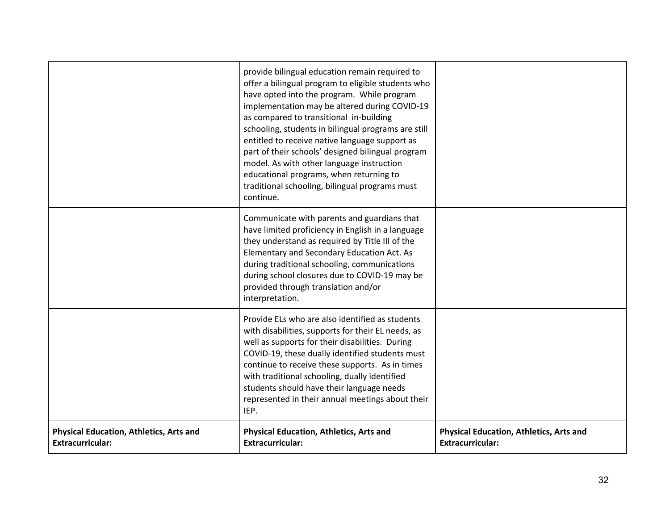|                                                                           | provide bilingual education remain required to<br>offer a bilingual program to eligible students who<br>have opted into the program. While program<br>implementation may be altered during COVID-19<br>as compared to transitional in-building<br>schooling, students in bilingual programs are still<br>entitled to receive native language support as<br>part of their schools' designed bilingual program<br>model. As with other language instruction<br>educational programs, when returning to<br>traditional schooling, bilingual programs must<br>continue. |                                                                           |
|---------------------------------------------------------------------------|---------------------------------------------------------------------------------------------------------------------------------------------------------------------------------------------------------------------------------------------------------------------------------------------------------------------------------------------------------------------------------------------------------------------------------------------------------------------------------------------------------------------------------------------------------------------|---------------------------------------------------------------------------|
|                                                                           | Communicate with parents and guardians that<br>have limited proficiency in English in a language<br>they understand as required by Title III of the<br>Elementary and Secondary Education Act. As<br>during traditional schooling, communications<br>during school closures due to COVID-19 may be<br>provided through translation and/or<br>interpretation.                                                                                                                                                                                                        |                                                                           |
|                                                                           | Provide ELs who are also identified as students<br>with disabilities, supports for their EL needs, as<br>well as supports for their disabilities. During<br>COVID-19, these dually identified students must<br>continue to receive these supports. As in times<br>with traditional schooling, dually identified<br>students should have their language needs<br>represented in their annual meetings about their<br>IEP.                                                                                                                                            |                                                                           |
| <b>Physical Education, Athletics, Arts and</b><br><b>Extracurricular:</b> | <b>Physical Education, Athletics, Arts and</b><br><b>Extracurricular:</b>                                                                                                                                                                                                                                                                                                                                                                                                                                                                                           | <b>Physical Education, Athletics, Arts and</b><br><b>Extracurricular:</b> |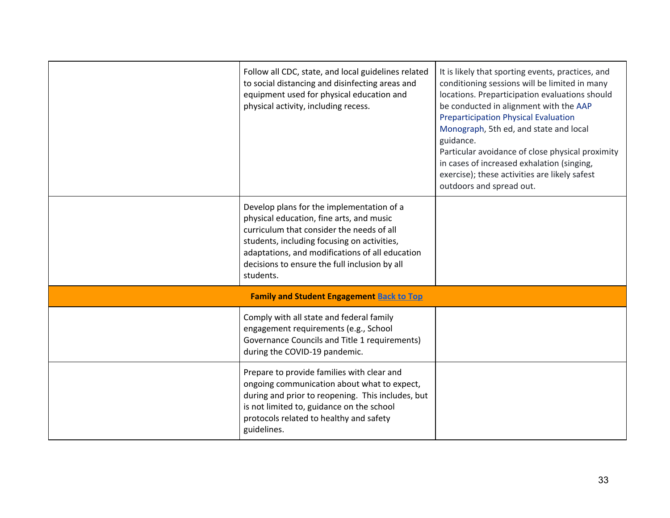| Follow all CDC, state, and local guidelines related<br>to social distancing and disinfecting areas and<br>equipment used for physical education and<br>physical activity, including recess.                                                                                                        | It is likely that sporting events, practices, and<br>conditioning sessions will be limited in many<br>locations. Preparticipation evaluations should<br>be conducted in alignment with the AAP<br><b>Preparticipation Physical Evaluation</b><br>Monograph, 5th ed, and state and local<br>guidance.<br>Particular avoidance of close physical proximity<br>in cases of increased exhalation (singing,<br>exercise); these activities are likely safest<br>outdoors and spread out. |
|----------------------------------------------------------------------------------------------------------------------------------------------------------------------------------------------------------------------------------------------------------------------------------------------------|-------------------------------------------------------------------------------------------------------------------------------------------------------------------------------------------------------------------------------------------------------------------------------------------------------------------------------------------------------------------------------------------------------------------------------------------------------------------------------------|
| Develop plans for the implementation of a<br>physical education, fine arts, and music<br>curriculum that consider the needs of all<br>students, including focusing on activities,<br>adaptations, and modifications of all education<br>decisions to ensure the full inclusion by all<br>students. |                                                                                                                                                                                                                                                                                                                                                                                                                                                                                     |
| <b>Family and Student Engagement Back to Top</b>                                                                                                                                                                                                                                                   |                                                                                                                                                                                                                                                                                                                                                                                                                                                                                     |
| Comply with all state and federal family<br>engagement requirements (e.g., School<br>Governance Councils and Title 1 requirements)<br>during the COVID-19 pandemic.                                                                                                                                |                                                                                                                                                                                                                                                                                                                                                                                                                                                                                     |
| Prepare to provide families with clear and<br>ongoing communication about what to expect,<br>during and prior to reopening. This includes, but<br>is not limited to, guidance on the school<br>protocols related to healthy and safety<br>guidelines.                                              |                                                                                                                                                                                                                                                                                                                                                                                                                                                                                     |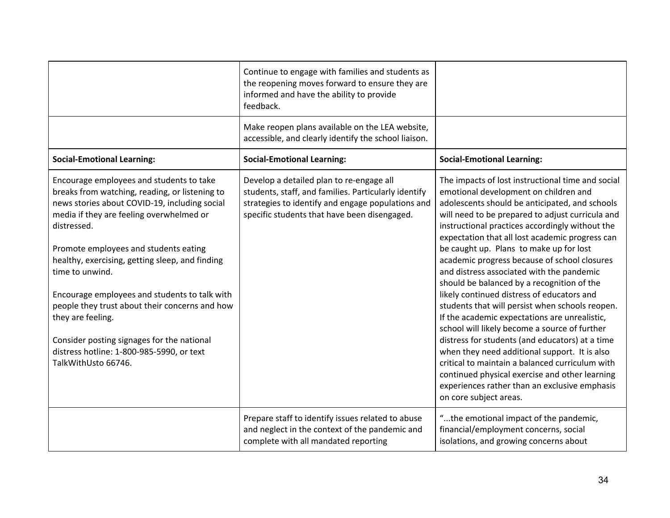|                                                                                                                                                                                                                                                                                                                                                                                                                                                                                                                                                                 | Continue to engage with families and students as<br>the reopening moves forward to ensure they are<br>informed and have the ability to provide<br>feedback.                                           |                                                                                                                                                                                                                                                                                                                                                                                                                                                                                                                                                                                                                                                                                                                                                                                                                                                                                                                                                                                     |
|-----------------------------------------------------------------------------------------------------------------------------------------------------------------------------------------------------------------------------------------------------------------------------------------------------------------------------------------------------------------------------------------------------------------------------------------------------------------------------------------------------------------------------------------------------------------|-------------------------------------------------------------------------------------------------------------------------------------------------------------------------------------------------------|-------------------------------------------------------------------------------------------------------------------------------------------------------------------------------------------------------------------------------------------------------------------------------------------------------------------------------------------------------------------------------------------------------------------------------------------------------------------------------------------------------------------------------------------------------------------------------------------------------------------------------------------------------------------------------------------------------------------------------------------------------------------------------------------------------------------------------------------------------------------------------------------------------------------------------------------------------------------------------------|
|                                                                                                                                                                                                                                                                                                                                                                                                                                                                                                                                                                 | Make reopen plans available on the LEA website,<br>accessible, and clearly identify the school liaison.                                                                                               |                                                                                                                                                                                                                                                                                                                                                                                                                                                                                                                                                                                                                                                                                                                                                                                                                                                                                                                                                                                     |
| <b>Social-Emotional Learning:</b>                                                                                                                                                                                                                                                                                                                                                                                                                                                                                                                               | <b>Social-Emotional Learning:</b>                                                                                                                                                                     | <b>Social-Emotional Learning:</b>                                                                                                                                                                                                                                                                                                                                                                                                                                                                                                                                                                                                                                                                                                                                                                                                                                                                                                                                                   |
| Encourage employees and students to take<br>breaks from watching, reading, or listening to<br>news stories about COVID-19, including social<br>media if they are feeling overwhelmed or<br>distressed.<br>Promote employees and students eating<br>healthy, exercising, getting sleep, and finding<br>time to unwind.<br>Encourage employees and students to talk with<br>people they trust about their concerns and how<br>they are feeling.<br>Consider posting signages for the national<br>distress hotline: 1-800-985-5990, or text<br>TalkWithUsto 66746. | Develop a detailed plan to re-engage all<br>students, staff, and families. Particularly identify<br>strategies to identify and engage populations and<br>specific students that have been disengaged. | The impacts of lost instructional time and social<br>emotional development on children and<br>adolescents should be anticipated, and schools<br>will need to be prepared to adjust curricula and<br>instructional practices accordingly without the<br>expectation that all lost academic progress can<br>be caught up. Plans to make up for lost<br>academic progress because of school closures<br>and distress associated with the pandemic<br>should be balanced by a recognition of the<br>likely continued distress of educators and<br>students that will persist when schools reopen.<br>If the academic expectations are unrealistic,<br>school will likely become a source of further<br>distress for students (and educators) at a time<br>when they need additional support. It is also<br>critical to maintain a balanced curriculum with<br>continued physical exercise and other learning<br>experiences rather than an exclusive emphasis<br>on core subject areas. |
|                                                                                                                                                                                                                                                                                                                                                                                                                                                                                                                                                                 | Prepare staff to identify issues related to abuse<br>and neglect in the context of the pandemic and<br>complete with all mandated reporting                                                           | "the emotional impact of the pandemic,<br>financial/employment concerns, social<br>isolations, and growing concerns about                                                                                                                                                                                                                                                                                                                                                                                                                                                                                                                                                                                                                                                                                                                                                                                                                                                           |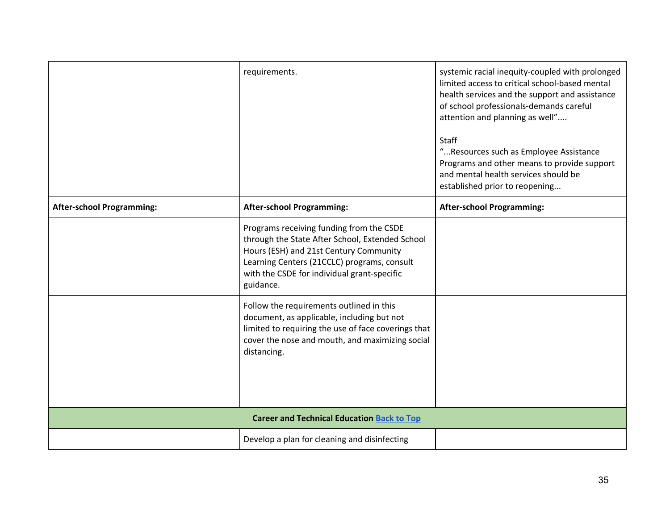|                                                   | requirements.                                                                                                                                                                                                                                    | systemic racial inequity-coupled with prolonged<br>limited access to critical school-based mental<br>health services and the support and assistance<br>of school professionals-demands careful<br>attention and planning as well"<br>Staff<br>" Resources such as Employee Assistance<br>Programs and other means to provide support<br>and mental health services should be<br>established prior to reopening |
|---------------------------------------------------|--------------------------------------------------------------------------------------------------------------------------------------------------------------------------------------------------------------------------------------------------|----------------------------------------------------------------------------------------------------------------------------------------------------------------------------------------------------------------------------------------------------------------------------------------------------------------------------------------------------------------------------------------------------------------|
| <b>After-school Programming:</b>                  | <b>After-school Programming:</b>                                                                                                                                                                                                                 | <b>After-school Programming:</b>                                                                                                                                                                                                                                                                                                                                                                               |
|                                                   | Programs receiving funding from the CSDE<br>through the State After School, Extended School<br>Hours (ESH) and 21st Century Community<br>Learning Centers (21CCLC) programs, consult<br>with the CSDE for individual grant-specific<br>guidance. |                                                                                                                                                                                                                                                                                                                                                                                                                |
|                                                   | Follow the requirements outlined in this<br>document, as applicable, including but not<br>limited to requiring the use of face coverings that<br>cover the nose and mouth, and maximizing social<br>distancing.                                  |                                                                                                                                                                                                                                                                                                                                                                                                                |
| <b>Career and Technical Education Back to Top</b> |                                                                                                                                                                                                                                                  |                                                                                                                                                                                                                                                                                                                                                                                                                |
|                                                   | Develop a plan for cleaning and disinfecting                                                                                                                                                                                                     |                                                                                                                                                                                                                                                                                                                                                                                                                |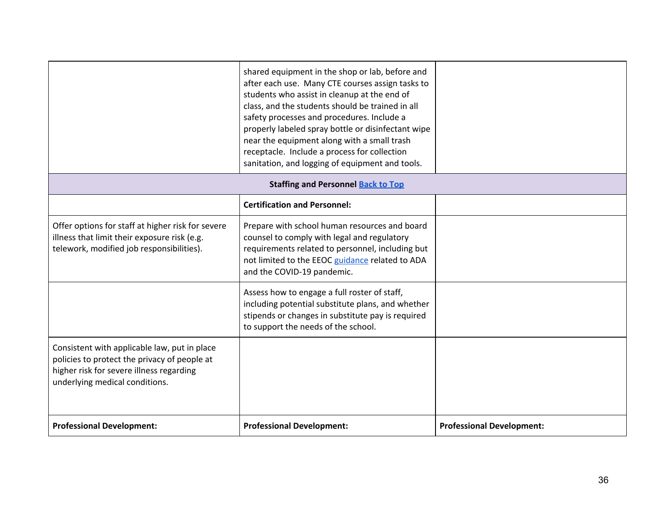|                                                                                                                                                                            | shared equipment in the shop or lab, before and<br>after each use. Many CTE courses assign tasks to<br>students who assist in cleanup at the end of<br>class, and the students should be trained in all<br>safety processes and procedures. Include a<br>properly labeled spray bottle or disinfectant wipe<br>near the equipment along with a small trash<br>receptacle. Include a process for collection<br>sanitation, and logging of equipment and tools. |                                  |
|----------------------------------------------------------------------------------------------------------------------------------------------------------------------------|---------------------------------------------------------------------------------------------------------------------------------------------------------------------------------------------------------------------------------------------------------------------------------------------------------------------------------------------------------------------------------------------------------------------------------------------------------------|----------------------------------|
|                                                                                                                                                                            | <b>Staffing and Personnel Back to Top</b>                                                                                                                                                                                                                                                                                                                                                                                                                     |                                  |
|                                                                                                                                                                            | <b>Certification and Personnel:</b>                                                                                                                                                                                                                                                                                                                                                                                                                           |                                  |
| Offer options for staff at higher risk for severe<br>illness that limit their exposure risk (e.g.<br>telework, modified job responsibilities).                             | Prepare with school human resources and board<br>counsel to comply with legal and regulatory<br>requirements related to personnel, including but<br>not limited to the EEOC guidance related to ADA<br>and the COVID-19 pandemic.                                                                                                                                                                                                                             |                                  |
|                                                                                                                                                                            | Assess how to engage a full roster of staff,<br>including potential substitute plans, and whether<br>stipends or changes in substitute pay is required<br>to support the needs of the school.                                                                                                                                                                                                                                                                 |                                  |
| Consistent with applicable law, put in place<br>policies to protect the privacy of people at<br>higher risk for severe illness regarding<br>underlying medical conditions. |                                                                                                                                                                                                                                                                                                                                                                                                                                                               |                                  |
| <b>Professional Development:</b>                                                                                                                                           | <b>Professional Development:</b>                                                                                                                                                                                                                                                                                                                                                                                                                              | <b>Professional Development:</b> |